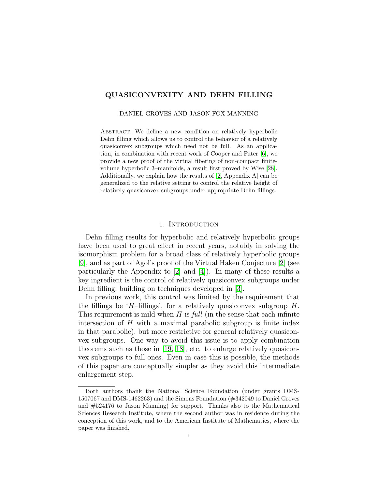# QUASICONVEXITY AND DEHN FILLING

DANIEL GROVES AND JASON FOX MANNING

ABSTRACT. We define a new condition on relatively hyperbolic Dehn filling which allows us to control the behavior of a relatively quasiconvex subgroups which need not be full. As an application, in combination with recent work of Cooper and Futer [\[6\]](#page-31-0), we provide a new proof of the virtual fibering of non-compact finitevolume hyperbolic 3–manifolds, a result first proved by Wise [\[28\]](#page-32-0). Additionally, we explain how the results of [\[2,](#page-31-1) Appendix A] can be generalized to the relative setting to control the relative height of relatively quasiconvex subgroups under appropriate Dehn fillings.

### 1. INTRODUCTION

Dehn filling results for hyperbolic and relatively hyperbolic groups have been used to great effect in recent years, notably in solving the isomorphism problem for a broad class of relatively hyperbolic groups [\[9\]](#page-31-2), and as part of Agol's proof of the Virtual Haken Conjecture [\[2\]](#page-31-1) (see particularly the Appendix to [\[2\]](#page-31-1) and [\[4\]](#page-31-3)). In many of these results a key ingredient is the control of relatively quasiconvex subgroups under Dehn filling, building on techniques developed in [\[3\]](#page-31-4).

In previous work, this control was limited by the requirement that the fillings be 'H-fillings', for a relatively quasiconvex subgroup  $H$ . This requirement is mild when  $H$  is full (in the sense that each infinite intersection of  $H$  with a maximal parabolic subgroup is finite index in that parabolic), but more restrictive for general relatively quasiconvex subgroups. One way to avoid this issue is to apply combination theorems such as those in [\[19,](#page-31-5) [18\]](#page-31-6), etc. to enlarge relatively quasiconvex subgroups to full ones. Even in case this is possible, the methods of this paper are conceptually simpler as they avoid this intermediate enlargement step.

Both authors thank the National Science Foundation (under grants DMS-1507067 and DMS-1462263) and the Simons Foundation (#342049 to Daniel Groves and #524176 to Jason Manning) for support. Thanks also to the Mathematical Sciences Research Institute, where the second author was in residence during the conception of this work, and to the American Institute of Mathematics, where the paper was finished.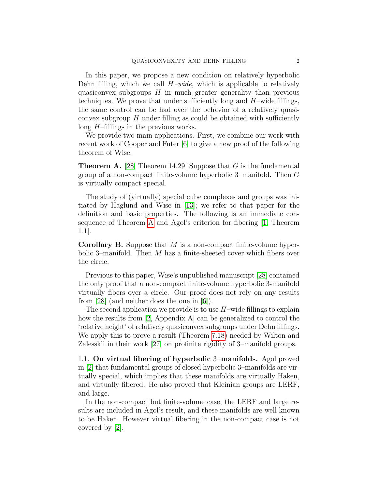In this paper, we propose a new condition on relatively hyperbolic Dehn filling, which we call  $H$ –wide, which is applicable to relatively quasiconvex subgroups  $H$  in much greater generality than previous techniques. We prove that under sufficiently long and  $H$ –wide fillings, the same control can be had over the behavior of a relatively quasiconvex subgroup  $H$  under filling as could be obtained with sufficiently long  $H$ –fillings in the previous works.

We provide two main applications. First, we combine our work with recent work of Cooper and Futer [\[6\]](#page-31-0) to give a new proof of the following theorem of Wise.

<span id="page-1-0"></span>**Theorem A.** [\[28,](#page-32-0) Theorem 14.29] Suppose that  $G$  is the fundamental group of a non-compact finite-volume hyperbolic 3–manifold. Then G is virtually compact special.

The study of (virtually) special cube complexes and groups was initiated by Haglund and Wise in [\[13\]](#page-31-7); we refer to that paper for the definition and basic properties. The following is an immediate consequence of Theorem [A](#page-1-0) and Agol's criterion for fibering [\[1,](#page-31-8) Theorem 1.1].

**Corollary B.** Suppose that  $M$  is a non-compact finite-volume hyperbolic 3–manifold. Then  $M$  has a finite-sheeted cover which fibers over the circle.

Previous to this paper, Wise's unpublished manuscript [\[28\]](#page-32-0) contained the only proof that a non-compact finite-volume hyperbolic 3-manifold virtually fibers over a circle. Our proof does not rely on any results from [\[28\]](#page-32-0) (and neither does the one in [\[6\]](#page-31-0)).

The second application we provide is to use  $H$ –wide fillings to explain how the results from [\[2,](#page-31-1) Appendix A] can be generalized to control the 'relative height' of relatively quasiconvex subgroups under Dehn fillings. We apply this to prove a result (Theorem [7.18\)](#page-30-0) needed by Wilton and Zalesskii in their work [\[27\]](#page-32-1) on profinite rigidity of 3–manifold groups.

1.1. On virtual fibering of hyperbolic 3–manifolds. Agol proved in [\[2\]](#page-31-1) that fundamental groups of closed hyperbolic 3–manifolds are virtually special, which implies that these manifolds are virtually Haken, and virtually fibered. He also proved that Kleinian groups are LERF, and large.

In the non-compact but finite-volume case, the LERF and large results are included in Agol's result, and these manifolds are well known to be Haken. However virtual fibering in the non-compact case is not covered by [\[2\]](#page-31-1).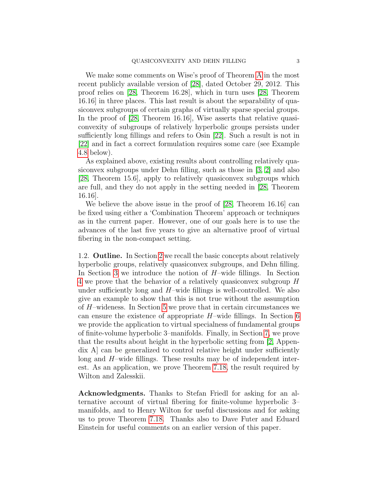We make some comments on Wise's proof of Theorem [A](#page-1-0) in the most recent publicly available version of [\[28\]](#page-32-0), dated October 29, 2012. This proof relies on [\[28,](#page-32-0) Theorem 16.28], which in turn uses [\[28,](#page-32-0) Theorem 16.16] in three places. This last result is about the separability of quasiconvex subgroups of certain graphs of virtually sparse special groups. In the proof of [\[28,](#page-32-0) Theorem 16.16], Wise asserts that relative quasiconvexity of subgroups of relatively hyperbolic groups persists under sufficiently long fillings and refers to Osin [\[22\]](#page-32-2). Such a result is not in [\[22\]](#page-32-2) and in fact a correct formulation requires some care (see Example [4.8](#page-13-0) below).

As explained above, existing results about controlling relatively quasiconvex subgroups under Dehn filling, such as those in [\[3,](#page-31-4) [2\]](#page-31-1) and also [\[28,](#page-32-0) Theorem 15.6], apply to relatively quasiconvex subgroups which are full, and they do not apply in the setting needed in [\[28,](#page-32-0) Theorem 16.16].

We believe the above issue in the proof of [\[28,](#page-32-0) Theorem 16.16] can be fixed using either a 'Combination Theorem' approach or techniques as in the current paper. However, one of our goals here is to use the advances of the last five years to give an alternative proof of virtual fibering in the non-compact setting.

1.2. Outline. In Section [2](#page-3-0) we recall the basic concepts about relatively hyperbolic groups, relatively quasiconvex subgroups, and Dehn filling. In Section [3](#page-6-0) we introduce the notion of H–wide fillings. In Section [4](#page-9-0) we prove that the behavior of a relatively quasiconvex subgroup H under sufficiently long and  $H$ –wide fillings is well-controlled. We also give an example to show that this is not true without the assumption of  $H$ –wideness. In Section [5](#page-14-0) we prove that in certain circumstances we can ensure the existence of appropriate  $H$ –wide fillings. In Section [6](#page-15-0) we provide the application to virtual specialness of fundamental groups of finite-volume hyperbolic 3–manifolds. Finally, in Section [7,](#page-21-0) we prove that the results about height in the hyperbolic setting from [\[2,](#page-31-1) Appendix A] can be generalized to control relative height under sufficiently long and H–wide fillings. These results may be of independent interest. As an application, we prove Theorem [7.18,](#page-30-0) the result required by Wilton and Zalesskii.

Acknowledgments. Thanks to Stefan Friedl for asking for an alternative account of virtual fibering for finite-volume hyperbolic 3– manifolds, and to Henry Wilton for useful discussions and for asking us to prove Theorem [7.18.](#page-30-0) Thanks also to Dave Futer and Eduard Einstein for useful comments on an earlier version of this paper.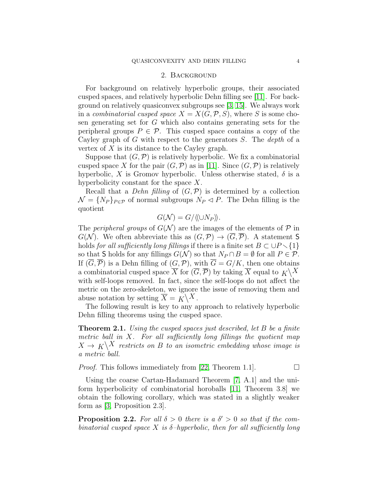### 2. Background

<span id="page-3-0"></span>For background on relatively hyperbolic groups, their associated cusped spaces, and relatively hyperbolic Dehn filling see [\[11\]](#page-31-9). For background on relatively quasiconvex subgroups see [\[3,](#page-31-4) [15\]](#page-31-10). We always work in a *combinatorial cusped space*  $X = X(G, \mathcal{P}, S)$ , where S is some chosen generating set for G which also contains generating sets for the peripheral groups  $P \in \mathcal{P}$ . This cusped space contains a copy of the Cayley graph of G with respect to the generators  $S$ . The *depth* of a vertex of  $X$  is its distance to the Cayley graph.

Suppose that  $(G, \mathcal{P})$  is relatively hyperbolic. We fix a combinatorial cusped space X for the pair  $(G, \mathcal{P})$  as in [\[11\]](#page-31-9). Since  $(G, \mathcal{P})$  is relatively hyperbolic, X is Gromov hyperbolic. Unless otherwise stated,  $\delta$  is a hyperbolicity constant for the space  $X$ .

Recall that a *Dehn filling* of  $(G, \mathcal{P})$  is determined by a collection  $\mathcal{N} = \{N_P\}_{P \in \mathcal{P}}$  of normal subgroups  $N_P \triangleleft P$ . The Dehn filling is the quotient

$$
G(\mathcal{N}) = G/\langle \langle \cup N_P \rangle \rangle.
$$

The *peripheral groups* of  $G(N)$  are the images of the elements of  $P$  in  $G(\mathcal{N})$ . We often abbreviate this as  $(G,\mathcal{P}) \to (\overline{G},\overline{\mathcal{P}})$ . A statement S holds for all sufficiently long fillings if there is a finite set  $B \subset \cup P \setminus \{1\}$ so that S holds for any fillings  $G(\mathcal{N})$  so that  $N_P \cap B = \emptyset$  for all  $P \in \mathcal{P}$ . If  $(\overline{G}, \overline{\mathcal{P}})$  is a Dehn filling of  $(G, \mathcal{P})$ , with  $\overline{G} = G/K$ , then one obtains a combinatorial cusped space  $\overline{X}$  for  $(\overline{G}, \overline{P})$  by taking  $\overline{X}$  equal to  $K\backslash X$ with self-loops removed. In fact, since the self-loops do not affect the metric on the zero-skeleton, we ignore the issue of removing them and abuse notation by setting  $\overline{X} = K \backslash X$ .

The following result is key to any approach to relatively hyperbolic Dehn filling theorems using the cusped space.

<span id="page-3-2"></span>**Theorem 2.1.** Using the cusped spaces just described, let B be a finite metric ball in  $X$ . For all sufficiently long fillings the quotient map  $X \to K \backslash X$  restricts on B to an isometric embedding whose image is a metric ball.

*Proof.* This follows immediately from [\[22,](#page-32-2) Theorem 1.1].  $\Box$ 

Using the coarse Cartan-Hadamard Theorem [\[7,](#page-31-11) A.1] and the uniform hyperbolicity of combinatorial horoballs [\[11,](#page-31-9) Theorem 3.8] we obtain the following corollary, which was stated in a slightly weaker form as [\[3,](#page-31-4) Proposition 2.3].

<span id="page-3-1"></span>**Proposition 2.2.** For all  $\delta > 0$  there is a  $\delta' > 0$  so that if the combinatorial cusped space X is  $\delta$ -hyperbolic, then for all sufficiently long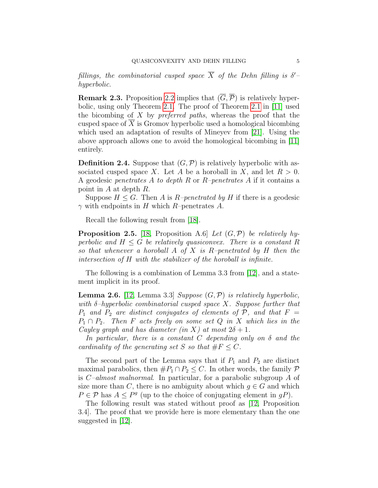fillings, the combinatorial cusped space  $\overline{X}$  of the Dehn filling is  $\delta'$ hyperbolic.

**Remark 2.3.** Proposition [2.2](#page-3-1) implies that  $(\overline{G}, \overline{\mathcal{P}})$  is relatively hyperbolic, using only Theorem [2.1.](#page-3-2) The proof of Theorem [2.1](#page-3-2) in [\[11\]](#page-31-9) used the bicombing of  $X$  by *preferred paths*, whereas the proof that the cusped space of X is Gromov hyperbolic used a homological bicombing which used an adaptation of results of Mineyev from [\[21\]](#page-32-3). Using the above approach allows one to avoid the homological bicombing in [\[11\]](#page-31-9) entirely.

**Definition 2.4.** Suppose that  $(G, \mathcal{P})$  is relatively hyperbolic with associated cusped space X. Let A be a horoball in X, and let  $R > 0$ . A geodesic penetrates A to depth R or R–penetrates A if it contains a point in A at depth R.

Suppose  $H \leq G$ . Then A is R-penetrated by H if there is a geodesic  $\gamma$  with endpoints in H which R–penetrates A.

Recall the following result from [\[18\]](#page-31-6).

<span id="page-4-0"></span>**Proposition 2.5.** [\[18,](#page-31-6) Proposition A.6] Let  $(G, \mathcal{P})$  be relatively hyperbolic and  $H \leq G$  be relatively quasiconvex. There is a constant R so that whenever a horoball A of X is R-penetrated by H then the intersection of H with the stabilizer of the horoball is infinite.

The following is a combination of Lemma 3.3 from [\[12\]](#page-31-12), and a statement implicit in its proof.

**Lemma 2.6.** [\[12,](#page-31-12) Lemma 3.3] Suppose  $(G, \mathcal{P})$  is relatively hyperbolic, with  $\delta$ -hyperbolic combinatorial cusped space X. Suppose further that  $P_1$  and  $P_2$  are distinct conjugates of elements of  $P$ , and that  $F =$  $P_1 \cap P_2$ . Then F acts freely on some set Q in X which lies in the Cayley graph and has diameter (in X) at most  $2\delta + 1$ .

In particular, there is a constant C depending only on  $\delta$  and the cardinality of the generating set S so that  $\#F \leq C$ .

The second part of the Lemma says that if  $P_1$  and  $P_2$  are distinct maximal parabolics, then  $\#P_1 \cap P_2 \leq C$ . In other words, the family  $\mathcal P$ is  $C$ -almost malnormal. In particular, for a parabolic subgroup A of size more than C, there is no ambiguity about which  $g \in G$  and which  $P \in \mathcal{P}$  has  $A \leq P^g$  (up to the choice of conjugating element in gP).

The following result was stated without proof as [\[12,](#page-31-12) Proposition 3.4]. The proof that we provide here is more elementary than the one suggested in [\[12\]](#page-31-12).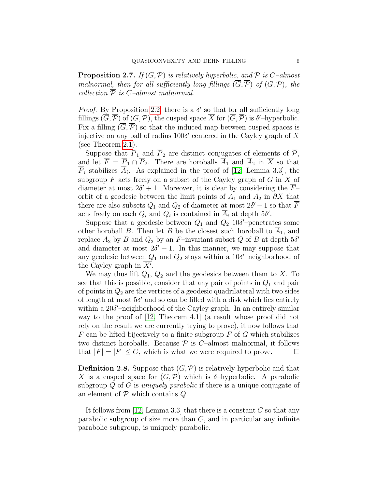**Proposition 2.7.** If  $(G, \mathcal{P})$  is relatively hyperbolic, and  $\mathcal{P}$  is C-almost malnormal, then for all sufficiently long fillings  $(\overline{G}, \overline{P})$  of  $(G, P)$ , the collection  $\overline{P}$  is C–almost malnormal.

*Proof.* By Proposition [2.2,](#page-3-1) there is a  $\delta'$  so that for all sufficiently long fillings  $(\overline{G}, \overline{\mathcal{P}})$  of  $(G, \mathcal{P})$ , the cusped space  $\overline{X}$  for  $(\overline{G}, \overline{\mathcal{P}})$  is  $\delta'$ -hyperbolic. Fix a filling  $(\overline{G}, \overline{P})$  so that the induced map between cusped spaces is injective on any ball of radius  $100\delta'$  centered in the Cayley graph of X (see Theorem [2.1\)](#page-3-2).

Suppose that  $\overline{P}_1$  and  $\overline{P}_2$  are distinct conjugates of elements of  $\overline{P}_1$ , and let  $\overline{F} = \overline{P}_1 \cap \overline{P}_2$ . There are horoballs  $\overline{A}_1$  and  $\overline{A}_2$  in  $\overline{X}$  so that  $P_i$  stabilizes  $A_i$ . As explained in the proof of [\[12,](#page-31-12) Lemma 3.3], the subgroup  $\overline{F}$  acts freely on a subset of the Cayley graph of  $\overline{G}$  in  $\overline{X}$  of diameter at most  $2\delta' + 1$ . Moreover, it is clear by considering the  $\overline{F}$ orbit of a geodesic between the limit points of  $\overline{A}_1$  and  $\overline{A}_2$  in  $\partial X$  that there are also subsets  $Q_1$  and  $Q_2$  of diameter at most  $2\delta' + 1$  so that  $\overline{F}$ acts freely on each  $Q_i$  and  $Q_i$  is contained in  $\overline{A}_i$  at depth  $5\delta'$ .

Suppose that a geodesic between  $Q_1$  and  $Q_2$  10 $\delta$ '-penetrates some other horoball B. Then let B be the closest such horoball to  $\overline{A}_1$ , and replace  $\overline{A}_2$  by B and  $Q_2$  by an  $\overline{F}$ -invariant subset Q of B at depth 5 $\delta'$ and diameter at most  $2\delta' + 1$ . In this manner, we may suppose that any geodesic between  $Q_1$  and  $Q_2$  stays within a 10 $\delta$ '-neighborhood of the Cayley graph in  $\overline{X'}$ .

We may thus lift  $Q_1$ ,  $Q_2$  and the geodesics between them to X. To see that this is possible, consider that any pair of points in  $Q_1$  and pair of points in  $Q_2$  are the vertices of a geodesic quadrilateral with two sides of length at most  $5\delta'$  and so can be filled with a disk which lies entirely within a  $20\delta'$ -neighborhood of the Cayley graph. In an entirely similar way to the proof of [\[12,](#page-31-12) Theorem 4.1] (a result whose proof did not rely on the result we are currently trying to prove), it now follows that  $F$  can be lifted bijectively to a finite subgroup  $F$  of  $G$  which stabilizes two distinct horoballs. Because  $P$  is C–almost malnormal, it follows that  $|F| = |F| \leq C$ , which is what we were required to prove.

**Definition 2.8.** Suppose that  $(G, \mathcal{P})$  is relatively hyperbolic and that X is a cusped space for  $(G, \mathcal{P})$  which is  $\delta$ -hyperbolic. A parabolic subgroup Q of G is *uniquely parabolic* if there is a unique conjugate of an element of  $P$  which contains  $Q$ .

It follows from [\[12,](#page-31-12) Lemma 3.3] that there is a constant  $C$  so that any parabolic subgroup of size more than  $C$ , and in particular any infinite parabolic subgroup, is uniquely parabolic.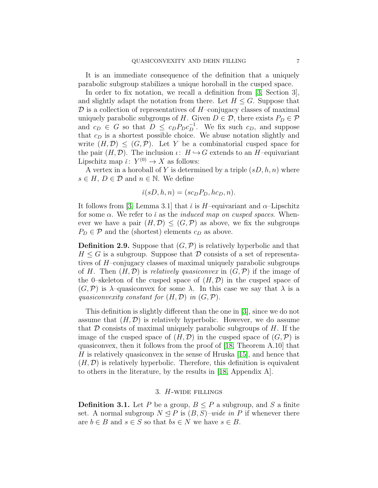It is an immediate consequence of the definition that a uniquely parabolic subgroup stabilizes a unique horoball in the cusped space.

In order to fix notation, we recall a definition from [\[3,](#page-31-4) Section 3], and slightly adapt the notation from there. Let  $H \leq G$ . Suppose that  $\mathcal D$  is a collection of representatives of H–conjugacy classes of maximal uniquely parabolic subgroups of H. Given  $D \in \mathcal{D}$ , there exists  $P_D \in \mathcal{P}$ and  $c_D \in G$  so that  $D \leq c_D P_D c_D^{-1}$ . We fix such  $c_D$ , and suppose that  $c<sub>D</sub>$  is a shortest possible choice. We abuse notation slightly and write  $(H, \mathcal{D}) \leq (G, \mathcal{P})$ . Let Y be a combinatorial cusped space for the pair  $(H, \mathcal{D})$ . The inclusion  $\iota: H \hookrightarrow G$  extends to an H–equivariant Lipschitz map  $\check{\iota}: Y^{(0)} \to X$  as follows:

A vertex in a horoball of Y is determined by a triple  $(sD, h, n)$  where  $s \in H$ ,  $D \in \mathcal{D}$  and  $n \in \mathbb{N}$ . We define

$$
i(sD, h, n) = (sc_D P_D, hc_D, n).
$$

It follows from [\[3,](#page-31-4) Lemma 3.1] that  $\tilde{\iota}$  is H–equivariant and  $\alpha$ –Lipschitz for some  $\alpha$ . We refer to  $\check{\iota}$  as the *induced map on cusped spaces*. Whenever we have a pair  $(H, \mathcal{D}) \leq (G, \mathcal{P})$  as above, we fix the subgroups  $P_D \in \mathcal{P}$  and the (shortest) elements  $c_D$  as above.

**Definition 2.9.** Suppose that  $(G, \mathcal{P})$  is relatively hyperbolic and that  $H \leq G$  is a subgroup. Suppose that  $\mathcal D$  consists of a set of representatives of H–conjugacy classes of maximal uniquely parabolic subgroups of H. Then  $(H, \mathcal{D})$  is relatively quasiconvex in  $(G, \mathcal{P})$  if the image of the 0–skeleton of the cusped space of  $(H, \mathcal{D})$  in the cusped space of  $(G,\mathcal{P})$  is  $\lambda$ -quasiconvex for some  $\lambda$ . In this case we say that  $\lambda$  is a quasiconvexity constant for  $(H, \mathcal{D})$  in  $(G, \mathcal{P})$ .

This definition is slightly different than the one in [\[3\]](#page-31-4), since we do not assume that  $(H, \mathcal{D})$  is relatively hyperbolic. However, we do assume that  $\mathcal D$  consists of maximal uniquely parabolic subgroups of  $H$ . If the image of the cusped space of  $(H, \mathcal{D})$  in the cusped space of  $(G, \mathcal{P})$  is quasiconvex, then it follows from the proof of [\[18,](#page-31-6) Theorem A.10] that H is relatively quasiconvex in the sense of Hruska  $[15]$ , and hence that  $(H, \mathcal{D})$  is relatively hyperbolic. Therefore, this definition is equivalent to others in the literature, by the results in [\[18,](#page-31-6) Appendix A].

#### 3. H-wide fillings

<span id="page-6-0"></span>**Definition 3.1.** Let P be a group,  $B \leq P$  a subgroup, and S a finite set. A normal subgroup  $N \leq P$  is  $(B, S)$ –wide in P if whenever there are  $b \in B$  and  $s \in S$  so that  $bs \in N$  we have  $s \in B$ .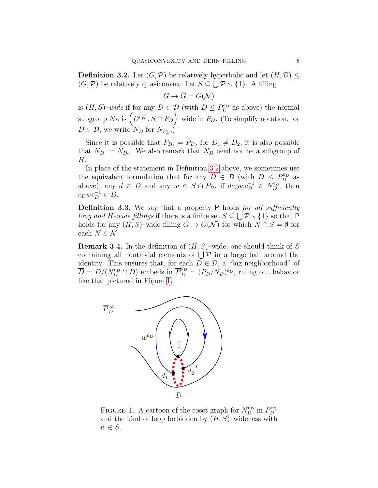<span id="page-7-0"></span>**Definition 3.2.** Let  $(G, \mathcal{P})$  be relatively hyperbolic and let  $(H, \mathcal{D}) \leq$  $(G, \mathcal{P})$  be relatively quasiconvex. Let  $S \subseteq \bigcup \mathcal{P} \setminus \{1\}$ . A filling

$$
G \to \overline{G} = G(\mathcal{N})
$$

is  $(H, S)$ -wide if for any  $D \in \mathcal{D}$  (with  $D \leq P_D^{c_D}$  as above) the normal subgroup  $N_D$  is  $\left(D^{c_D^{-1}}, S \cap P_D\right)$ -wide in  $P_D$ . (To simplify notation, for  $D \in \mathcal{D}$ , we write  $N_D$  for  $N_{P_D}$ .)

Since it is possible that  $P_{D_1} = P_{D_2}$  for  $D_1 \neq D_2$ , it is also possible that  $N_{D_1} = N_{D_2}$ . We also remark that  $N_D$  need not be a subgroup of H.

In place of the statement in Definition [3.2](#page-7-0) above, we sometimes use the equivalent formulation that for any  $D \in \mathcal{D}$  (with  $D \leq P_D^{c_D}$  as above), any  $d \in D$  and any  $w \in S \cap P_D$ , if  $dc_Dwc_D^{-1} \in N_D^{c_D}$ , then  $c_Dw c_D^{-1} \in D.$ 

**Definition 3.3.** We say that a property P holds for all sufficiently long and H-wide fillings if there is a finite set  $S \subseteq \bigcup \mathcal{P} \setminus \{1\}$  so that P holds for any  $(H, S)$ –wide filling  $G \to G(\mathcal{N})$  for which  $N \cap S = \emptyset$  for each  $N \in \mathcal{N}$ .

**Remark 3.4.** In the definition of  $(H, S)$ –wide, one should think of S containing all nontrivial elements of  $\bigcup \mathcal{P}$  in a large ball around the identity. This ensures that, for each  $D \in \mathcal{D}$ , a "big neighborhood" of  $\overline{D} = D/(N_D^{c_D} \cap D)$  embeds in  $\overline{P}_D^{c_D} = (P_D/N_D)^{c_D}$ , ruling out behavior like that pictured in Figure [1.](#page-7-1)



<span id="page-7-1"></span>FIGURE 1. A cartoon of the coset graph for  $N_D^{cp}$  in  $P_D^{cp}$ and the kind of loop forbidden by  $(H, S)$ –wideness with  $w \in S$ .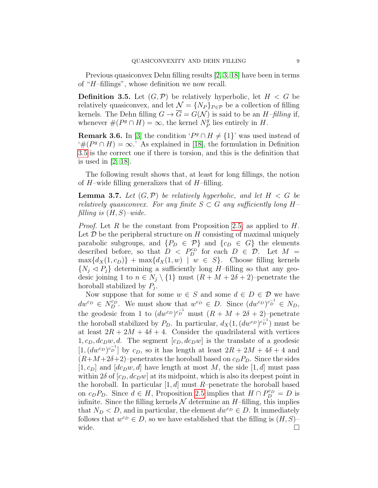Previous quasiconvex Dehn filling results [\[2,](#page-31-1) [3,](#page-31-4) [18\]](#page-31-6) have been in terms of "H–fillings", whose definition we now recall.

<span id="page-8-0"></span>**Definition 3.5.** Let  $(G, \mathcal{P})$  be relatively hyperbolic, let  $H < G$  be relatively quasiconvex, and let  $\mathcal{N} = \{N_P\}_{P \in \mathcal{P}}$  be a collection of filling kernels. The Dehn filling  $G \to \overline{G} = G(\mathcal{N})$  is said to be an  $H$ -filling if, whenever  $#(P^g \cap H) = \infty$ , the kernel  $N_P^g$  $P_P^g$  lies entirely in  $H$ .

**Remark 3.6.** In [\[3\]](#page-31-4) the condition ' $P^g \cap H \neq \{1\}$ ' was used instead of '# $(P^g \cap H) = \infty$ .' As explained in [\[18\]](#page-31-6), the formulation in Definition [3.5](#page-8-0) is the correct one if there is torsion, and this is the definition that is used in [\[2,](#page-31-1) [18\]](#page-31-6).

The following result shows that, at least for long fillings, the notion of  $H$ –wide filling generalizes that of  $H$ –filling.

**Lemma 3.7.** Let  $(G, \mathcal{P})$  be relatively hyperbolic, and let  $H < G$  be relatively quasiconvex. For any finite  $S \subset G$  any sufficiently long Hfilling is  $(H, S)$ -wide.

*Proof.* Let R be the constant from Proposition [2.5,](#page-4-0) as applied to  $H$ . Let  $\mathcal D$  be the peripheral structure on  $H$  consisting of maximal uniquely parabolic subgroups, and  $\{P_D \in \mathcal{P}\}\$ and  $\{c_D \in G\}$  the elements described before, so that  $D \leq P_D^{c_D}$  for each  $D \in \mathcal{D}$ . Let  $M =$  $\max\{d_X(1,c_D)\} + \max\{d_X(1,w) \mid w \in S\}.$  Choose filling kernels  $\{N_i \lhd P_j\}$  determining a sufficiently long H-filling so that any geodesic joining 1 to  $n \in N_j \setminus \{1\}$  must  $(R + M + 2\delta + 2)$ –penetrate the horoball stabilized by  $P_j$ .

Now suppose that for some  $w \in S$  and some  $d \in D \in \mathcal{D}$  we have  $dw^{c_D} \in N_D^{c_D}$ . We must show that  $w^{c_D} \in D$ . Since  $(dw^{c_D})^{c_D^{-1}} \in N_D$ , the geodesic from 1 to  $(dw^{c_D})^{c_D^{-1}}$  must  $(R + M + 2\delta + 2)$ -penetrate the horoball stabilized by  $P_D$ . In particular,  $d_X(1, (dw^{c_D})^{c_D^{-1}})$  must be at least  $2R + 2M + 4\delta + 4$ . Consider the quadrilateral with vertices  $1, c_D, dc_Dw, d$ . The segment  $[c_D, dc_Dw]$  is the translate of a geodesic  $[1,(dw^{c_D})^{c_D^{-1}}]$  by  $c_D$ , so it has length at least  $2R + 2M + 4\delta + 4$  and  $(R+M+2\delta+2)$ –penetrates the horoball based on  $c_D P_D$ . Since the sides  $[1, c_D]$  and  $[dc_Dw, d]$  have length at most M, the side  $[1, d]$  must pass within  $2\delta$  of  $[c_D, dc_Dw]$  at its midpoint, which is also its deepest point in the horoball. In particular  $[1, d]$  must R-penetrate the horoball based on  $c_D P_D$ . Since  $d \in H$ , Proposition [2.5](#page-4-0) implies that  $H \cap P_D^{c_D} = D$  is infinite. Since the filling kernels  $\mathcal N$  determine an  $H$ –filling, this implies that  $N_D < D$ , and in particular, the element  $dw^{c_D} \in D$ . It immediately follows that  $w^{c_D} \in D$ , so we have established that the filling is  $(H, S)$ wide.  $\Box$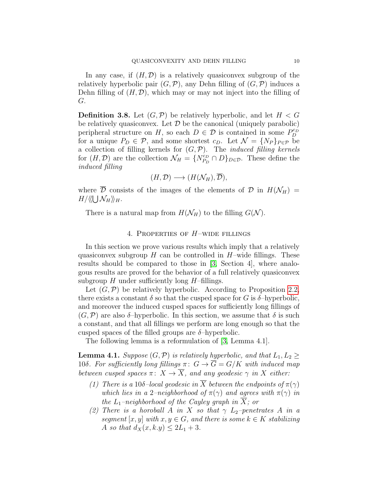In any case, if  $(H, \mathcal{D})$  is a relatively quasiconvex subgroup of the relatively hyperbolic pair  $(G, \mathcal{P})$ , any Dehn filling of  $(G, \mathcal{P})$  induces a Dehn filling of  $(H, \mathcal{D})$ , which may or may not inject into the filling of G.

<span id="page-9-1"></span>**Definition 3.8.** Let  $(G, \mathcal{P})$  be relatively hyperbolic, and let  $H < G$ be relatively quasiconvex. Let  $\mathcal D$  be the canonical (uniquely parabolic) peripheral structure on H, so each  $D \in \mathcal{D}$  is contained in some  $P_D^{cp}$ for a unique  $P_D \in \mathcal{P}$ , and some shortest  $c_D$ . Let  $\mathcal{N} = \{N_P\}_{P \in \mathcal{P}}$  be a collection of filling kernels for  $(G, \mathcal{P})$ . The *induced filling kernels* for  $(H, \mathcal{D})$  are the collection  $\mathcal{N}_H = \{N_{P_D}^{c_D}\}$  $P_D^{c_D} \cap D\}_{D \in \mathcal{D}}$ . These define the induced filling

$$
(H,\mathcal{D}) \longrightarrow (H(\mathcal{N}_H),\overline{\mathcal{D}}),
$$

where  $\overline{\mathcal{D}}$  consists of the images of the elements of  $\mathcal{D}$  in  $H(\mathcal{N}_H)$  =  $H/\langle\!\langle \bigcup \mathcal{N}_H \rangle\!\rangle_H.$ 

There is a natural map from  $H(\mathcal{N}_H)$  to the filling  $G(\mathcal{N})$ .

# 4. Properties of H–wide fillings

<span id="page-9-0"></span>In this section we prove various results which imply that a relatively quasiconvex subgroup  $H$  can be controlled in  $H$ –wide fillings. These results should be compared to those in [\[3,](#page-31-4) Section 4], where analogous results are proved for the behavior of a full relatively quasiconvex subgroup  $H$  under sufficiently long  $H$ –fillings.

Let  $(G, \mathcal{P})$  be relatively hyperbolic. According to Proposition [2.2,](#page-3-1) there exists a constant  $\delta$  so that the cusped space for G is  $\delta$ -hyperbolic, and moreover the induced cusped spaces for sufficiently long fillings of  $(G,\mathcal{P})$  are also  $\delta$ -hyperbolic. In this section, we assume that  $\delta$  is such a constant, and that all fillings we perform are long enough so that the cusped spaces of the filled groups are  $\delta$ -hyperbolic.

The following lemma is a reformulation of [\[3,](#page-31-4) Lemma 4.1].

<span id="page-9-2"></span>**Lemma 4.1.** Suppose  $(G, \mathcal{P})$  is relatively hyperbolic, and that  $L_1, L_2 \geq$ 10δ. For sufficiently long fillings  $\pi: G \to \overline{G} = G/K$  with induced map between cusped spaces  $\pi: X \to \overline{X}$ , and any geodesic  $\gamma$  in X either:

- (1) There is a 10δ-local geodesic in  $\overline{X}$  between the endpoints of  $\pi(\gamma)$ which lies in a 2–neighborhood of  $\pi(\gamma)$  and agrees with  $\pi(\gamma)$  in the  $L_1$ -neighborhood of the Cayley graph in X; or
- (2) There is a horoball A in X so that  $\gamma$  L<sub>2</sub>–penetrates A in a segment [x, y] with  $x, y \in G$ , and there is some  $k \in K$  stabilizing A so that  $d_X(x, k,y) \leq 2L_1 + 3$ .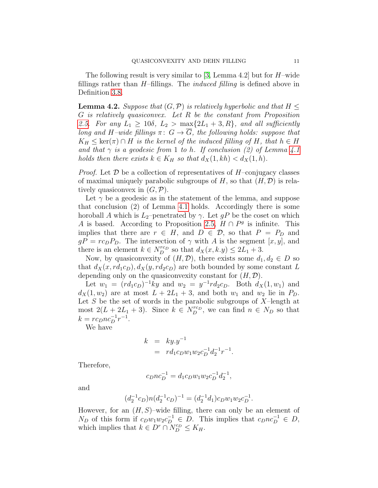The following result is very similar to [\[3,](#page-31-4) Lemma 4.2] but for  $H$ -wide fillings rather than  $H$ –fillings. The *induced filling* is defined above in Definition [3.8.](#page-9-1)

<span id="page-10-0"></span>**Lemma 4.2.** Suppose that  $(G, \mathcal{P})$  is relatively hyperbolic and that  $H \leq$ G is relatively quasiconvex. Let R be the constant from Proposition [2.5.](#page-4-0) For any  $L_1 \geq 10\delta$ ,  $L_2 > \max\{2L_1 + 3, R\}$ , and all sufficiently long and H–wide fillings  $\pi: G \to \overline{G}$ , the following holds: suppose that  $K_H \leq \ker(\pi) \cap H$  is the kernel of the induced filling of H, that  $h \in H$ and that  $\gamma$  is a geodesic from 1 to h. If conclusion (2) of Lemma [4.1](#page-9-2) holds then there exists  $k \in K_H$  so that  $d_X(1, kh) < d_X(1,h)$ .

*Proof.* Let  $D$  be a collection of representatives of  $H$ –conjugacy classes of maximal uniquely parabolic subgroups of H, so that  $(H, \mathcal{D})$  is relatively quasiconvex in  $(G, \mathcal{P})$ .

Let  $\gamma$  be a geodesic as in the statement of the lemma, and suppose that conclusion (2) of Lemma [4.1](#page-9-2) holds. Accordingly there is some horoball A which is  $L_2$ –penetrated by  $\gamma$ . Let  $gP$  be the coset on which A is based. According to Proposition [2.5,](#page-4-0)  $H \cap P^g$  is infinite. This implies that there are  $r \in H$ , and  $D \in \mathcal{D}$ , so that  $P = P_D$  and  $gP = r c_D P_D$ . The intersection of  $\gamma$  with A is the segment [x, y], and there is an element  $k \in N_D^{rc_D}$  so that  $d_X(x, k y) \leq 2L_1 + 3$ .

Now, by quasiconvexity of  $(H, \mathcal{D})$ , there exists some  $d_1, d_2 \in D$  so that  $d_X(x, rd_1c_D), d_X(y, rd_2c_D)$  are both bounded by some constant L depending only on the quasiconvexity constant for  $(H, \mathcal{D})$ .

Let  $w_1 = (r d_1 c_D)^{-1} k y$  and  $w_2 = y^{-1} r d_2 c_D$ . Both  $d_X(1, w_1)$  and  $d_X(1, w_2)$  are at most  $L + 2L_1 + 3$ , and both  $w_1$  and  $w_2$  lie in  $P_D$ . Let  $S$  be the set of words in the parabolic subgroups of  $X$ -length at most  $2(L + 2L_1 + 3)$ . Since  $k \in N_D^{rc}$ , we can find  $n \in N_D$  so that  $k = r c_D n c_D^{-1} r^{-1}.$ 

We have

$$
k = ky.y^{-1}
$$
  
=  $rd_1c_Dw_1w_2c_D^{-1}d_2^{-1}r^{-1}$ .

Therefore,

$$
c_Dnc_D^{-1} = d_1c_Dw_1w_2c_D^{-1}d_2^{-1},
$$

and

$$
(d_2^{-1}c_D)n(d_2^{-1}c_D)^{-1} = (d_2^{-1}d_1)c_Dw_1w_2c_D^{-1}.
$$

However, for an  $(H, S)$ –wide filling, there can only be an element of  $N_D$  of this form if  $c_D w_1 w_2 c_D^{-1} \in D$ . This implies that  $c_D n c_D^{-1} \in D$ , which implies that  $k \in D^r \cap N_D^{c_D} \leq K_H$ .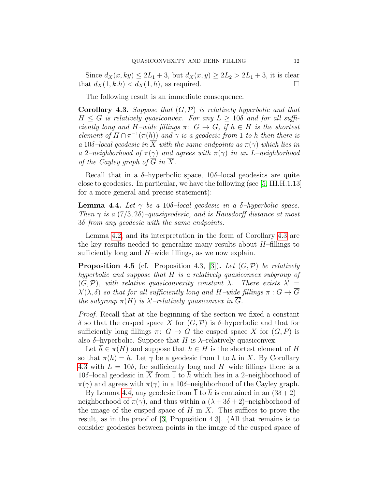Since  $d_X(x, ky) \leq 2L_1 + 3$ , but  $d_X(x, y) \geq 2L_2 > 2L_1 + 3$ , it is clear that  $d_X(1, k.h) < d_X(1, h)$ , as required.

The following result is an immediate consequence.

<span id="page-11-0"></span>**Corollary 4.3.** Suppose that  $(G, \mathcal{P})$  is relatively hyperbolic and that  $H \leq G$  is relatively quasiconvex. For any  $L \geq 10\delta$  and for all sufficiently long and H–wide fillings  $\pi: G \to \overline{G}$ , if  $h \in H$  is the shortest element of  $H \cap \pi^{-1}(\pi(h))$  and  $\gamma$  is a geodesic from 1 to h then there is a 10δ-local geodesic in X with the same endpoints as  $\pi(\gamma)$  which lies in a 2–neighborhood of  $\pi(\gamma)$  and agrees with  $\pi(\gamma)$  in an L–neighborhood of the Cayley graph of  $\overline{G}$  in  $\overline{X}$ .

Recall that in a  $\delta$ -hyperbolic space, 10 $\delta$ -local geodesics are quite close to geodesics. In particular, we have the following (see [\[5,](#page-31-13) III.H.1.13] for a more general and precise statement):

<span id="page-11-1"></span>**Lemma 4.4.** Let  $\gamma$  be a 10δ-local geodesic in a δ-hyperbolic space. Then  $\gamma$  is a  $(7/3, 2\delta)$ –quasigeodesic, and is Hausdorff distance at most 3δ from any geodesic with the same endpoints.

Lemma [4.2,](#page-10-0) and its interpretation in the form of Corollary [4.3](#page-11-0) are the key results needed to generalize many results about  $H$ –fillings to sufficiently long and  $H$ –wide fillings, as we now explain.

<span id="page-11-2"></span>**Proposition 4.5** (cf. Proposition 4.3, [\[3\]](#page-31-4)). Let  $(G, \mathcal{P})$  be relatively hyperbolic and suppose that H is a relatively quasiconvex subgroup of  $(G, \mathcal{P})$ , with relative quasiconvexity constant  $\lambda$ . There exists  $\lambda' =$  $\lambda'(\lambda, \delta)$  so that for all sufficiently long and H–wide fillings  $\pi: G \to \overline{G}$ the subgroup  $\pi(H)$  is  $\lambda'$ -relatively quasiconvex in  $\overline{G}$ .

Proof. Recall that at the beginning of the section we fixed a constant δ so that the cusped space X for (G,P) is δ–hyperbolic and that for sufficiently long fillings  $\pi: G \to \overline{G}$  the cusped space  $\overline{X}$  for  $(\overline{G}, \overline{P})$  is also  $\delta$ -hyperbolic. Suppose that H is  $\lambda$ -relatively quasiconvex.

Let  $\overline{h} \in \pi(H)$  and suppose that  $h \in H$  is the shortest element of H so that  $\pi(h) = \overline{h}$ . Let  $\gamma$  be a geodesic from 1 to h in X. By Corollary [4.3](#page-11-0) with  $L = 10\delta$ , for sufficiently long and H-wide fillings there is a 10δ–local geodesic in  $\overline{X}$  from  $\overline{1}$  to  $\overline{h}$  which lies in a 2–neighborhood of  $\pi(\gamma)$  and agrees with  $\pi(\gamma)$  in a 10δ–neighborhood of the Cayley graph.

By Lemma [4.4,](#page-11-1) any geodesic from  $\overline{1}$  to  $\overline{h}$  is contained in an  $(3\delta+2)$ – neighborhood of  $\pi(\gamma)$ , and thus within a  $(\lambda + 3\delta + 2)$ –neighborhood of the image of the cusped space of H in  $\overline{X}$ . This suffices to prove the result, as in the proof of [\[3,](#page-31-4) Proposition 4.3]. (All that remains is to consider geodesics between points in the image of the cusped space of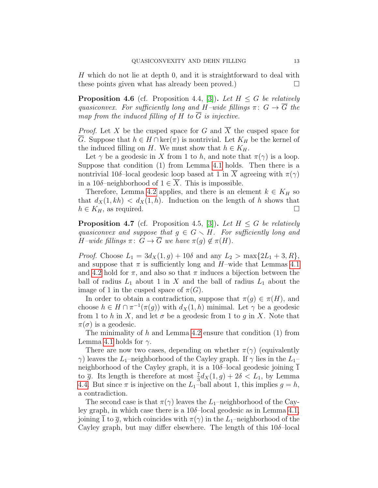H which do not lie at depth 0, and it is straightforward to deal with these points given what has already been proved.)  $\Box$ 

<span id="page-12-0"></span>**Proposition 4.6** (cf. Proposition 4.4, [\[3\]](#page-31-4)). Let  $H \leq G$  be relatively quasiconvex. For sufficiently long and H–wide fillings  $\pi: G \to \overline{G}$  the map from the induced filling of H to  $\overline{G}$  is injective.

*Proof.* Let X be the cusped space for G and  $\overline{X}$  the cusped space for  $\overline{G}$ . Suppose that  $h \in H \cap \text{ker}(\pi)$  is nontrivial. Let  $K_H$  be the kernel of the induced filling on H. We must show that  $h \in K_H$ .

Let  $\gamma$  be a geodesic in X from 1 to h, and note that  $\pi(\gamma)$  is a loop. Suppose that condition (1) from Lemma [4.1](#page-9-2) holds. Then there is a nontrivial 10δ–local geodesic loop based at 1 in  $\overline{X}$  agreeing with  $\pi(\gamma)$ in a 10 $\delta$ -neighborhood of  $1 \in \overline{X}$ . This is impossible.

Therefore, Lemma [4.2](#page-10-0) applies, and there is an element  $k \in K_H$  so that  $d_X(1, kh) < d_X(1, h)$ . Induction on the length of h shows that  $h \in K_H$ , as required.

<span id="page-12-1"></span>**Proposition 4.7** (cf. Proposition 4.5, [\[3\]](#page-31-4)). Let  $H \leq G$  be relatively quasiconvex and suppose that  $g \in G \setminus H$ . For sufficiently long and H–wide fillings  $\pi: G \to \overline{G}$  we have  $\pi(q) \notin \pi(H)$ .

*Proof.* Choose  $L_1 = 3d_X(1,g) + 10\delta$  and any  $L_2 > \max\{2L_1 + 3, R\},$ and suppose that  $\pi$  is sufficiently long and H–wide that Lemmas [4.1](#page-9-2) and [4.2](#page-10-0) hold for  $\pi$ , and also so that  $\pi$  induces a bijection between the ball of radius  $L_1$  about 1 in X and the ball of radius  $L_1$  about the image of 1 in the cusped space of  $\pi(G)$ .

In order to obtain a contradiction, suppose that  $\pi(g) \in \pi(H)$ , and choose  $h \in H \cap \pi^{-1}(\pi(g))$  with  $d_X(1,h)$  minimal. Let  $\gamma$  be a geodesic from 1 to h in X, and let  $\sigma$  be a geodesic from 1 to g in X. Note that  $\pi(\sigma)$  is a geodesic.

The minimality of  $h$  and Lemma [4.2](#page-10-0) ensure that condition  $(1)$  from Lemma [4.1](#page-9-2) holds for  $\gamma$ .

There are now two cases, depending on whether  $\pi(\gamma)$  (equivalently  $\gamma$ ) leaves the L<sub>1</sub>–neighborhood of the Cayley graph. If  $\gamma$  lies in the L<sub>1</sub>– neighborhood of the Cayley graph, it is a  $10\delta$ -local geodesic joining  $\overline{1}$ to  $\bar{g}$ . Its length is therefore at most  $\frac{7}{3}d_X(1,g) + 2\delta < L_1$ , by Lemma [4.4.](#page-11-1) But since  $\pi$  is injective on the  $L_1$ -ball about 1, this implies  $g = h$ , a contradiction.

The second case is that  $\pi(\gamma)$  leaves the  $L_1$ –neighborhood of the Cayley graph, in which case there is a  $10\delta$ -local geodesic as in Lemma [4.1,](#page-9-2) joining  $\overline{1}$  to  $\overline{q}$ , which coincides with  $\pi(\gamma)$  in the L<sub>1</sub>–neighborhood of the Cayley graph, but may differ elsewhere. The length of this  $10\delta$ -local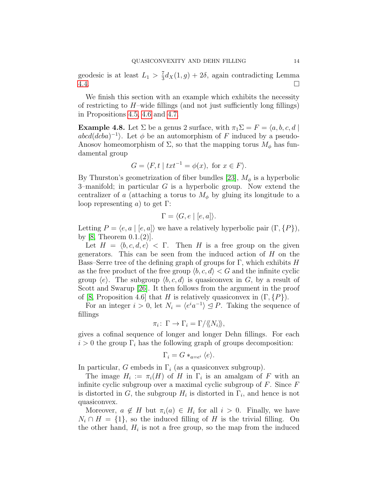geodesic is at least  $L_1 > \frac{7}{3}$  $\frac{7}{3}d_X(1,g) + 2\delta$ , again contradicting Lemma  $4.4.$ 

We finish this section with an example which exhibits the necessity of restricting to  $H$ –wide fillings (and not just sufficiently long fillings) in Propositions [4.5,](#page-11-2) [4.6](#page-12-0) and [4.7.](#page-12-1)

<span id="page-13-0"></span>**Example 4.8.** Let  $\Sigma$  be a genus 2 surface, with  $\pi_1 \Sigma = F = \langle a, b, c, d \mid$  $abcd(dcba)^{-1}$ . Let  $\phi$  be an automorphism of F induced by a pseudo-Anosov homeomorphism of  $\Sigma$ , so that the mapping torus  $M_{\phi}$  has fundamental group

$$
G = \langle F, t \mid txt^{-1} = \phi(x), \text{ for } x \in F \rangle.
$$

By Thurston's geometrization of fiber bundles [\[23\]](#page-32-4),  $M_{\phi}$  is a hyperbolic 3–manifold; in particular G is a hyperbolic group. Now extend the centralizer of a (attaching a torus to  $M_{\phi}$  by gluing its longitude to a loop representing a) to get  $\Gamma$ :

$$
\Gamma = \langle G, e \mid [e, a] \rangle.
$$

Letting  $P = \langle e, a | [e, a] \rangle$  we have a relatively hyperbolic pair  $(\Gamma, \{P\}),$ by [\[8,](#page-31-14) Theorem  $0.1.(2)$ ].

Let  $H = \langle b, c, d, e \rangle$  < Γ. Then H is a free group on the given generators. This can be seen from the induced action of  $H$  on the Bass–Serre tree of the defining graph of groups for Γ, which exhibits  $H$ as the free product of the free group  $\langle b, c, d \rangle < G$  and the infinite cyclic group  $\langle e \rangle$ . The subgroup  $\langle b, c, d \rangle$  is quasiconvex in G, by a result of Scott and Swarup [\[26\]](#page-32-5). It then follows from the argument in the proof of [\[8,](#page-31-14) Proposition 4.6] that H is relatively quasiconvex in  $(\Gamma, \{P\})$ .

For an integer  $i > 0$ , let  $N_i = \langle e^i a^{-1} \rangle \leq P$ . Taking the sequence of fillings

$$
\pi_i\colon\thinspace\Gamma\to\Gamma_i=\Gamma/\langle\!\langle N_i\rangle\!\rangle,
$$

gives a cofinal sequence of longer and longer Dehn fillings. For each  $i > 0$  the group  $\Gamma_i$  has the following graph of groups decomposition:

$$
\Gamma_i = G *_{a=e^i} \langle e \rangle.
$$

In particular, G embeds in  $\Gamma_i$  (as a quasiconvex subgroup).

The image  $H_i := \pi_i(H)$  of H in  $\Gamma_i$  is an amalgam of F with an infinite cyclic subgroup over a maximal cyclic subgroup of  $F$ . Since  $F$ is distorted in G, the subgroup  $H_i$  is distorted in  $\Gamma_i$ , and hence is not quasiconvex.

Moreover,  $a \notin H$  but  $\pi_i(a) \in H_i$  for all  $i > 0$ . Finally, we have  $N_i \cap H = \{1\}$ , so the induced filling of H is the trivial filling. On the other hand,  $H_i$  is not a free group, so the map from the induced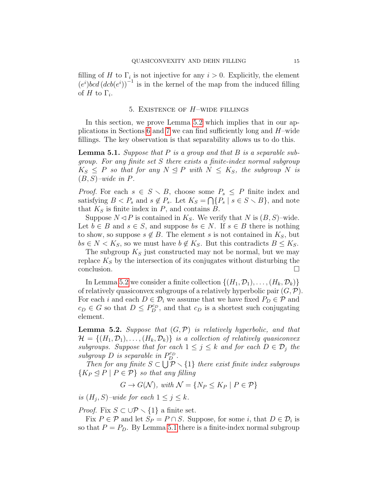filling of H to  $\Gamma_i$  is not injective for any  $i > 0$ . Explicitly, the element  $(e^i)$ bcd  $(dcb(e^i))^{-1}$  is in the kernel of the map from the induced filling of H to  $\Gamma_i$ .

# 5. EXISTENCE OF  $H$ -WIDE FILLINGS

<span id="page-14-0"></span>In this section, we prove Lemma [5.2](#page-14-1) which implies that in our ap-plications in Sections [6](#page-15-0) and [7](#page-21-0) we can find sufficiently long and  $H$ –wide fillings. The key observation is that separability allows us to do this.

<span id="page-14-2"></span>**Lemma 5.1.** Suppose that  $P$  is a group and that  $B$  is a separable subgroup. For any finite set S there exists a finite-index normal subgroup  $K_S \leq P$  so that for any  $N \leq P$  with  $N \leq K_S$ , the subgroup N is  $(B, S)$ -wide in P.

*Proof.* For each  $s \in S \setminus B$ , choose some  $P_s \leq P$  finite index and satisfying  $B < P_s$  and  $s \notin P_s$ . Let  $K_S = \bigcap \{P_s \mid s \in S \setminus B\}$ , and note that  $K<sub>S</sub>$  is finite index in  $P$ , and contains  $B$ .

Suppose  $N \triangleleft P$  is contained in  $K_S$ . We verify that N is  $(B, S)$ –wide. Let  $b \in B$  and  $s \in S$ , and suppose  $bs \in N$ . If  $s \in B$  there is nothing to show, so suppose  $s \notin B$ . The element s is not contained in  $K_S$ , but  $bs \in N < K_S$ , so we must have  $b \notin K_S$ . But this contradicts  $B \leq K_S$ .

The subgroup  $K<sub>S</sub>$  just constructed may not be normal, but we may replace  $K<sub>S</sub>$  by the intersection of its conjugates without disturbing the conclusion.

In Lemma [5.2](#page-14-1) we consider a finite collection  $\{(H_1, \mathcal{D}_1), \ldots, (H_k, \mathcal{D}_k)\}\$ of relatively quasiconvex subgroups of a relatively hyperbolic pair  $(G, \mathcal{P})$ . For each i and each  $D \in \mathcal{D}_i$  we assume that we have fixed  $P_D \in \mathcal{P}$  and  $c_D \in G$  so that  $D \leq P_D^{c_D}$ , and that  $c_D$  is a shortest such conjugating element.

<span id="page-14-1"></span>**Lemma 5.2.** Suppose that  $(G, \mathcal{P})$  is relatively hyperbolic, and that  $\mathcal{H} = \{(H_1, \mathcal{D}_1), \ldots, (H_k, \mathcal{D}_k)\}\$ is a collection of relatively quasiconvex subgroups. Suppose that for each  $1 \leq j \leq k$  and for each  $D \in \mathcal{D}_j$  the  $subgroup\ D$  is separable in  $P_D^{c_D}$ .

Then for any finite  $S \subset \bigcup_{i=1}^{n} \mathcal{P} \setminus \{1\}$  there exist finite index subgroups  ${K_P \trianglelefteq P \mid P \in \mathcal{P}}$  so that any filling

$$
G \to G(\mathcal{N}), \ with \ \mathcal{N} = \{N_P \le K_P \mid P \in \mathcal{P}\}\
$$

is  $(H_j, S)$ -wide for each  $1 \leq j \leq k$ .

*Proof.* Fix  $S \subset \bigcup \mathcal{P} \setminus \{1\}$  a finite set.

Fix  $P \in \mathcal{P}$  and let  $S_P = P \cap S$ . Suppose, for some *i*, that  $D \in \mathcal{D}_i$  is so that  $P = P_D$ . By Lemma [5.1](#page-14-2) there is a finite-index normal subgroup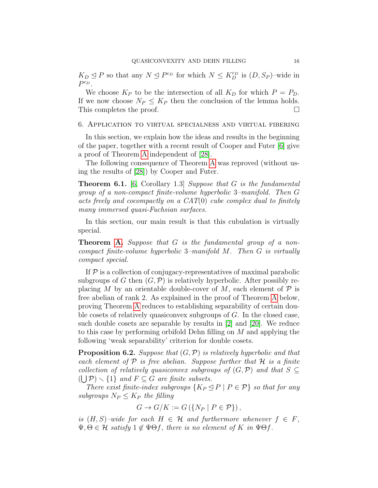$K_D \trianglelefteq P$  so that any  $N \trianglelefteq P^{c_D}$  for which  $N \leq K_D^{c_D}$  is  $(D, S_P)$ -wide in  $P^{c_D}.$ 

We choose  $K_P$  to be the intersection of all  $K_D$  for which  $P = P_D$ . If we now choose  $N_P \leq K_P$  then the conclusion of the lemma holds. This completes the proof.

#### <span id="page-15-0"></span>6. Application to virtual specialness and virtual fibering

In this section, we explain how the ideas and results in the beginning of the paper, together with a recent result of Cooper and Futer [\[6\]](#page-31-0) give a proof of Theorem [A](#page-1-0) independent of [\[28\]](#page-32-0).

The following consequence of Theorem [A](#page-1-0) was reproved (without using the results of [\[28\]](#page-32-0)) by Cooper and Futer.

<span id="page-15-2"></span>**Theorem 6.1.** [\[6,](#page-31-0) Corollary 1.3] Suppose that  $G$  is the fundamental group of a non-compact finite-volume hyperbolic 3–manifold. Then G acts freely and cocompactly on a CAT(0) cube complex dual to finitely many immersed quasi-Fuchsian surfaces.

In this section, our main result is that this cubulation is virtually special.

**Theorem [A.](#page-1-0)** Suppose that G is the fundamental group of a noncompact finite-volume hyperbolic 3–manifold M. Then G is virtually compact special.

If  $P$  is a collection of conjugacy-representatives of maximal parabolic subgroups of G then  $(G, \mathcal{P})$  is relatively hyperbolic. After possibly replacing M by an orientable double-cover of M, each element of  $\mathcal P$  is free abelian of rank 2. As explained in the proof of Theorem [A](#page-1-0) below, proving Theorem [A](#page-1-0) reduces to establishing separability of certain double cosets of relatively quasiconvex subgroups of G. In the closed case, such double cosets are separable by results in [\[2\]](#page-31-1) and [\[20\]](#page-32-6). We reduce to this case by performing orbifold Dehn filling on M and applying the following 'weak separability' criterion for double cosets.

<span id="page-15-1"></span>**Proposition 6.2.** Suppose that  $(G, \mathcal{P})$  is relatively hyperbolic and that each element of  $P$  is free abelian. Suppose further that  $H$  is a finite collection of relatively quasiconvex subgroups of  $(G, \mathcal{P})$  and that  $S \subseteq$  $(\bigcup \mathcal{P}) \setminus \{1\}$  and  $F \subseteq G$  are finite subsets.

There exist finite-index subgroups  $\{K_P \leq P \mid P \in \mathcal{P}\}\$  so that for any subgroups  $N_P \leq K_P$  the filling

$$
G \to G/K := G\left(\{N_P \mid P \in \mathcal{P}\}\right),\
$$

is  $(H, S)$ –wide for each  $H \in \mathcal{H}$  and furthermore whenever  $f \in F$ ,  $\Psi, \Theta \in \mathcal{H}$  satisfy  $1 \notin \Psi \Theta f$ , there is no element of K in  $\Psi \Theta f$ .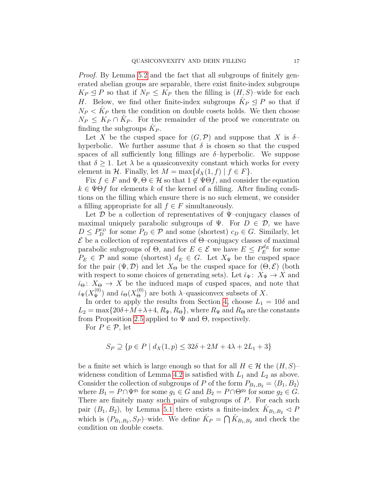Proof. By Lemma [5.2](#page-14-1) and the fact that all subgroups of finitely generated abelian groups are separable, there exist finite-index subgroups  $K_P \trianglelefteq P$  so that if  $N_P \leq K_P$  then the filling is  $(H, S)$ -wide for each H. Below, we find other finite-index subgroups  $\hat{K}_P \leq P$  so that if  $N_P < \hat{K}_P$  then the condition on double cosets holds. We then choose  $N_P \leq K_P \cap \hat{K}_P$ . For the remainder of the proof we concentrate on finding the subgroups  $\hat{K}_P$ .

Let X be the cusped space for  $(G,\mathcal{P})$  and suppose that X is  $\delta$ hyperbolic. We further assume that  $\delta$  is chosen so that the cusped spaces of all sufficiently long fillings are  $\delta$ -hyperbolic. We suppose that  $\delta \geq 1$ . Let  $\lambda$  be a quasiconvexity constant which works for every element in H. Finally, let  $M = \max\{d_X(1, f) | f \in F\}.$ 

Fix  $f \in F$  and  $\Psi, \Theta \in \mathcal{H}$  so that  $1 \notin \Psi \Theta f$ , and consider the equation  $k \in \Psi \Theta f$  for elements k of the kernel of a filling. After finding conditions on the filling which ensure there is no such element, we consider a filling appropriate for all  $f \in F$  simultaneously.

Let  $\mathcal D$  be a collection of representatives of  $\Psi$ –conjugacy classes of maximal uniquely parabolic subgroups of  $\Psi$ . For  $D \in \mathcal{D}$ , we have  $D \le P_D^{c_D}$  for some  $P_D \in \mathcal{P}$  and some (shortest)  $c_D \in G$ . Similarly, let  $\mathcal E$  be a collection of representatives of  $\Theta$ -conjugacy classes of maximal parabolic subgroups of  $\Theta$ , and for  $E \in \mathcal{E}$  we have  $E \leq P_E^{d_E}$  for some  $P_E \in \mathcal{P}$  and some (shortest)  $d_E \in G$ . Let  $X_{\Psi}$  be the cusped space for the pair  $(\Psi, \mathcal{D})$  and let  $X_{\Theta}$  be the cusped space for  $(\Theta, \mathcal{E})$  (both with respect to some choices of generating sets). Let  $\tilde{\iota}_{\Psi} \colon X_{\Psi} \to X$  and  $i_{\Theta}$ :  $X_{\Theta} \to X$  be the induced maps of cusped spaces, and note that  $\check{\iota}_{\Psi}(X_{\Psi}^{(0)})$  and  $\check{\iota}_{\Theta}(X_{\Theta}^{(0)})$  are both  $\lambda$ -quasiconvex subsets of X.

In order to apply the results from Section [4,](#page-9-0) choose  $L_1 = 10\delta$  and  $L_2 = \max\{20\delta + M + \lambda + 4, R_\Psi, R_\Theta\}$ , where  $R_\Psi$  and  $R_\Theta$  are the constants from Proposition [2.5](#page-4-0) applied to  $\Psi$  and  $\Theta$ , respectively.

For  $P \in \mathcal{P}$ , let

$$
S_P \supseteq \{ p \in P \mid d_X(1, p) \le 32\delta + 2M + 4\lambda + 2L_1 + 3 \}
$$

be a finite set which is large enough so that for all  $H \in \mathcal{H}$  the  $(H, S)$ – wideness condition of Lemma [4.2](#page-10-0) is satisfied with  $L_1$  and  $L_2$  as above. Consider the collection of subgroups of P of the form  $P_{B_1,B_2} = \langle B_1, B_2 \rangle$ where  $B_1 = P \cap \Psi^{g_1}$  for some  $g_1 \in G$  and  $B_2 = P \cap \Theta^{g_2}$  for some  $g_2 \in G$ . There are finitely many such pairs of subgroups of P. For each such pair  $(B_1, B_2)$ , by Lemma [5.1](#page-14-2) there exists a finite-index  $\hat{K}_{B_1, B_2} \triangleleft P$ which is  $(P_{B_1,B_2}, S_P)$ -wide. We define  $\hat{K}_P = \bigcap \hat{K}_{B_1,B_2}$  and check the condition on double cosets.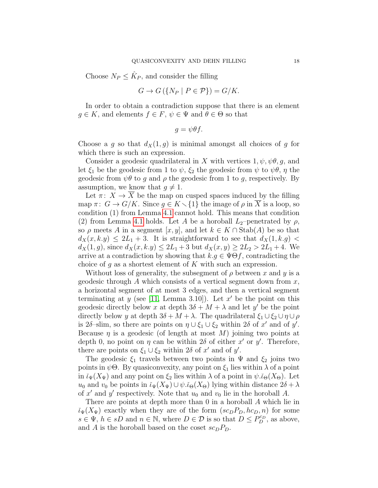Choose  $N_P \leq \hat{K}_P$ , and consider the filling

$$
G \to G(\{N_P \mid P \in \mathcal{P}\}) = G/K.
$$

In order to obtain a contradiction suppose that there is an element  $g \in K$ , and elements  $f \in F$ ,  $\psi \in \Psi$  and  $\theta \in \Theta$  so that

$$
g=\psi\theta f.
$$

Choose a g so that  $d_X(1, g)$  is minimal amongst all choices of g for which there is such an expression.

Consider a geodesic quadrilateral in X with vertices  $1, \psi, \psi, \theta, g$ , and let  $\xi_1$  be the geodesic from 1 to  $\psi$ ,  $\xi_2$  the geodesic from  $\psi$  to  $\psi\theta$ ,  $\eta$  the geodesic from  $\psi\theta$  to g and  $\rho$  the geodesic from 1 to g, respectively. By assumption, we know that  $q \neq 1$ .

Let  $\pi: X \to X$  be the map on cusped spaces induced by the filling map  $\pi: G \to G/K$ . Since  $g \in K \setminus \{1\}$  the image of  $\rho$  in  $\overline{X}$  is a loop, so condition (1) from Lemma [4.1](#page-9-2) cannot hold. This means that condition (2) from Lemma [4.1](#page-9-2) holds. Let A be a horoball  $L_2$ –penetrated by  $\rho$ , so  $\rho$  meets A in a segment [x, y], and let  $k \in K \cap \text{Stab}(A)$  be so that  $d_X(x, k,y) \leq 2L_1 + 3$ . It is straightforward to see that  $d_X(1, k,g)$  $d_X(1,g)$ , since  $d_X(x,k,y) \leq 2L_1+3$  but  $d_X(x,y) \geq 2L_2 > 2L_1+4$ . We arrive at a contradiction by showing that  $k.g \in \Psi \Theta f$ , contradicting the choice of g as a shortest element of K with such an expression.

Without loss of generality, the subsegment of  $\rho$  between x and y is a geodesic through A which consists of a vertical segment down from  $x$ , a horizontal segment of at most 3 edges, and then a vertical segment terminating at  $y$  (see [\[11,](#page-31-9) Lemma 3.10]). Let  $x'$  be the point on this geodesic directly below x at depth  $3\delta + M + \lambda$  and let y' be the point directly below y at depth  $3\delta + M + \lambda$ . The quadrilateral  $\xi_1 \cup \xi_2 \cup \eta \cup \rho$ is 2 $\delta$ -slim, so there are points on  $\eta \cup \xi_1 \cup \xi_2$  within 2 $\delta$  of x' and of y'. Because  $\eta$  is a geodesic (of length at most M) joining two points at depth 0, no point on  $\eta$  can be within 2 $\delta$  of either  $x'$  or  $y'$ . Therefore, there are points on  $\xi_1 \cup \xi_2$  within 2*δ* of x' and of y'.

The geodesic  $\xi_1$  travels between two points in  $\Psi$  and  $\xi_2$  joins two points in  $\psi\Theta$ . By quasiconvexity, any point on  $\xi_1$  lies within  $\lambda$  of a point in  $\tilde{\iota}_{\Psi}(X_{\Psi})$  and any point on  $\xi_2$  lies within  $\lambda$  of a point in  $\psi.\tilde{\iota}_{\Theta}(X_{\Theta})$ . Let  $u_0$  and  $v_0$  be points in  $\tilde{\iota}_{\Psi}(X_{\Psi}) \cup \psi \tilde{\iota}_{\Theta}(X_{\Theta})$  lying within distance  $2\delta + \lambda$ of x' and y' respectively. Note that  $u_0$  and  $v_0$  lie in the horoball A.

There are points at depth more than 0 in a horoball A which lie in  $\tilde{\iota}_{\Psi}(X_{\Psi})$  exactly when they are of the form  $(sc<sub>D</sub>P<sub>D</sub>, hc<sub>D</sub>, n)$  for some  $s \in \Psi, h \in sD$  and  $n \in \mathbb{N}$ , where  $D \in \mathcal{D}$  is so that  $D \leq P_{D}^{c_D}$ , as above, and A is the horoball based on the coset  $sc_D P_D$ .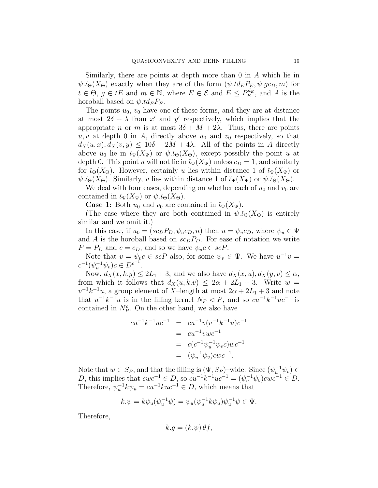Similarly, there are points at depth more than 0 in A which lie in  $\psi.\check{\iota}_{\Theta}(X_{\Theta})$  exactly when they are of the form  $(\psi.td_E P_E, \psi.gc_D, m)$  for  $t \in \Theta$ ,  $g \in tE$  and  $m \in \mathbb{N}$ , where  $E \in \mathcal{E}$  and  $E \leq P_E^{d_E}$ , and A is the horoball based on  $\psi.td_E P_E$ .

The points  $u_0$ ,  $v_0$  have one of these forms, and they are at distance at most  $2\delta + \lambda$  from x' and y' respectively, which implies that the appropriate n or m is at most  $3\delta + M + 2\lambda$ . Thus, there are points  $u, v$  at depth 0 in A, directly above  $u_0$  and  $v_0$  respectively, so that  $d_X(u, x), d_X(v, y) \leq 10\delta + 2M + 4\lambda$ . All of the points in A directly above  $u_0$  lie in  $\check{\iota}_{\Psi}(X_{\Psi})$  or  $\psi.\check{\iota}_{\Theta}(X_{\Theta})$ , except possibly the point u at depth 0. This point u will not lie in  $\tilde{\iota}_{\Psi}(X_{\Psi})$  unless  $c_D = 1$ , and similarly for  $\check{\iota}_{\Theta}(X_{\Theta})$ . However, certainly u lies within distance 1 of  $\check{\iota}_{\Psi}(X_{\Psi})$  or  $\psi.\check{\iota}_{\Theta}(X_{\Theta})$ . Similarly, v lies within distance 1 of  $\check{\iota}_{\Psi}(X_{\Psi})$  or  $\psi.\check{\iota}_{\Theta}(X_{\Theta})$ .

We deal with four cases, depending on whether each of  $u_0$  and  $v_0$  are contained in  $\check{\iota}_{\Psi}(X_{\Psi})$  or  $\psi.\check{\iota}_{\Theta}(X_{\Theta}).$ 

**Case 1:** Both  $u_0$  and  $v_0$  are contained in  $\tilde{\iota}_{\Psi}(X_{\Psi})$ .

(The case where they are both contained in  $\psi \tilde{\iota}_{\Theta}(X_{\Theta})$  is entirely similar and we omit it.)

In this case, if  $u_0 = (sc_D P_D, \psi_u c_D, n)$  then  $u = \psi_u c_D$ , where  $\psi_u \in \Psi$ and A is the horoball based on  $sc_D P_D$ . For ease of notation we write  $P = P_D$  and  $c = c_D$ , and so we have  $\psi_u c \in scP$ .

Note that  $v = \psi_v c \in scP$  also, for some  $\psi_v \in \Psi$ . We have  $u^{-1}v =$  $c^{-1}(\psi_u^{-1}\psi_v)c \in D^{c^{-1}}.$ 

Now,  $d_X(x, k, y) \leq 2L_1 + 3$ , and we also have  $d_X(x, u), d_X(y, v) \leq \alpha$ , from which it follows that  $d_X(u, k.v) \leq 2\alpha + 2L_1 + 3$ . Write  $w =$  $v^{-1}k^{-1}u$ , a group element of X-length at most  $2\alpha + 2L_1 + 3$  and note that  $u^{-1}k^{-1}u$  is in the filling kernel  $N_P \lhd P$ , and so  $cu^{-1}k^{-1}uc^{-1}$  is contained in  $N_P^c$ . On the other hand, we also have

$$
cu^{-1}k^{-1}uc^{-1} = cu^{-1}v(v^{-1}k^{-1}u)c^{-1}
$$
  
=  $cu^{-1}vwc^{-1}$   
=  $c(c^{-1}\psi_u^{-1}\psi_vc)wc^{-1}$   
=  $(\psi_u^{-1}\psi_v)cwc^{-1}$ .

Note that  $w \in S_P$ , and that the filling is  $(\Psi, S_P)$ -wide. Since  $(\psi_u^{-1} \psi_v) \in$ *D*, this implies that  $cwc^{-1} \in D$ , so  $cu^{-1}k^{-1}uc^{-1} = (\psi_u^{-1}\psi_v) cwc^{-1} \in D$ . Therefore,  $\psi_u^{-1} k \psi_u = cu^{-1} k u c^{-1} \in D$ , which means that

$$
k.\psi = k\psi_u(\psi_u^{-1}\psi) = \psi_u(\psi_u^{-1}k\psi_u)\psi_u^{-1}\psi \in \Psi.
$$

Therefore,

$$
k.g = (k.\psi)\,\theta f,
$$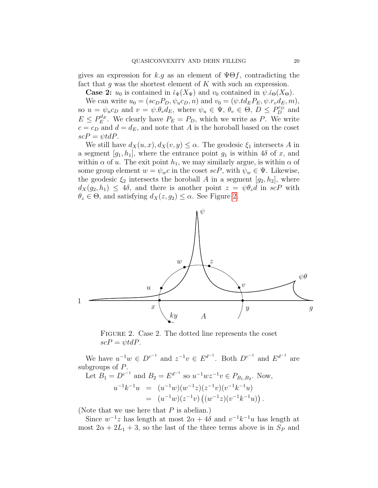gives an expression for k.g as an element of  $\Psi \Theta f$ , contradicting the fact that g was the shortest element of  $K$  with such an expression.

**Case 2:**  $u_0$  is contained in  $\check{\iota}_{\Psi}(X_{\Psi})$  and  $v_0$  contained in  $\psi.\check{\iota}_{\Theta}(X_{\Theta})$ .

We can write  $u_0 = (sc_D P_D, \psi_u c_D, n)$  and  $v_0 = (\psi.td_E P_E, \psi.r_v d_E, m)$ , so  $u = \psi_u c_D$  and  $v = \psi \theta_v d_E$ , where  $\psi_u \in \Psi$ ,  $\theta_v \in \Theta$ ,  $D \leq P_D^{c_D}$  and  $E \le P_E^{d_E}$ . We clearly have  $P_E = P_D$ , which we write as P. We write  $c = c_D$  and  $d = d_E$ , and note that A is the horoball based on the coset  $scP = \psi t dP.$ 

We still have  $d_X(u, x), d_X(v, y) \leq \alpha$ . The geodesic  $\xi_1$  intersects A in a segment  $[g_1, h_1]$ , where the entrance point  $g_1$  is within  $4\delta$  of x, and within  $\alpha$  of u. The exit point  $h_1$ , we may similarly argue, is within  $\alpha$  of some group element  $w = \psi_w c$  in the coset  $\mathit{scP}$ , with  $\psi_w \in \Psi$ . Likewise, the geodesic  $\xi_2$  intersects the horoball A in a segment  $[g_2, h_2]$ , where  $d_X(q_2, h_1) \leq 4\delta$ , and there is another point  $z = \psi \theta_z d$  in  $\operatorname{sc} P$  with  $\theta_z \in \Theta$ , and satisfying  $d_X(z, g_2) \leq \alpha$ . See Figure [2.](#page-19-0)



<span id="page-19-0"></span>FIGURE 2. Case 2. The dotted line represents the coset  $scP = \psi t dP$ .

We have  $u^{-1}w \in D^{c^{-1}}$  and  $z^{-1}v \in E^{d^{-1}}$ . Both  $D^{c^{-1}}$  and  $E^{d^{-1}}$  are subgroups of P.

Let 
$$
B_1 = D^{c^{-1}}
$$
 and  $B_2 = E^{d^{-1}}$  so  $u^{-1}wz^{-1}v \in P_{B_1,B_2}$ . Now,  
\n
$$
u^{-1}k^{-1}u = (u^{-1}w)(w^{-1}z)(z^{-1}v)(v^{-1}k^{-1}u)
$$
\n
$$
= (u^{-1}w)(z^{-1}v)((w^{-1}z)(v^{-1}k^{-1}u)).
$$

(Note that we use here that  $P$  is abelian.)

Since  $w^{-1}z$  has length at most  $2\alpha + 4\delta$  and  $v^{-1}k^{-1}u$  has length at most  $2\alpha + 2L_1 + 3$ , so the last of the three terms above is in  $S_P$  and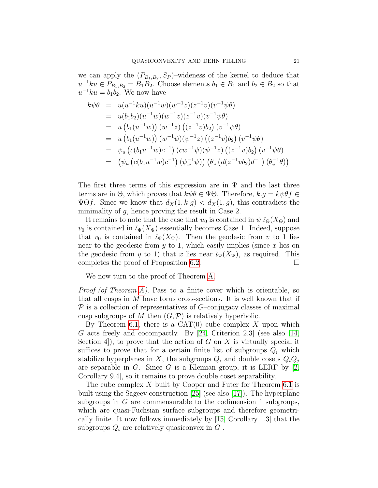we can apply the  $(P_{B_1,B_2}, S_P)$ -wideness of the kernel to deduce that  $u^{-1}ku \in P_{B_1,B_2} = B_1B_2$ . Choose elements  $b_1 \in B_1$  and  $b_2 \in B_2$  so that  $u^{-1}ku = b_1b_2$ . We now have

$$
k\psi\theta = u(u^{-1}ku)(u^{-1}w)(w^{-1}z)(z^{-1}v)(v^{-1}\psi\theta)
$$
  
\n
$$
= u(b_1b_2)(u^{-1}w)(w^{-1}z)(z^{-1}v)(v^{-1}\psi\theta)
$$
  
\n
$$
= u(b_1(u^{-1}w))(w^{-1}z)((z^{-1}v)b_2)(v^{-1}\psi\theta)
$$
  
\n
$$
= u(b_1(u^{-1}w))(w^{-1}\psi)(\psi^{-1}z)((z^{-1}v)b_2)(v^{-1}\psi\theta)
$$
  
\n
$$
= \psi_u(c(b_1u^{-1}w)c^{-1})(cw^{-1}\psi)(\psi^{-1}z)((z^{-1}v)b_2)(v^{-1}\psi\theta)
$$
  
\n
$$
= (\psi_u(c(b_1u^{-1}w)c^{-1})(\psi_w^{-1}\psi))(\theta_z(d(z^{-1}vb_2)d^{-1})(\theta_v^{-1}\theta))
$$

The first three terms of this expression are in  $\Psi$  and the last three terms are in  $\Theta$ , which proves that  $k\psi\theta \in \Psi\Theta$ . Therefore,  $k.g = k\psi\theta f \in$  $\Psi\Theta f$ . Since we know that  $d_X(1, k, g) < d_X(1, g)$ , this contradicts the minimality of  $g$ , hence proving the result in Case 2.

It remains to note that the case that  $u_0$  is contained in  $\psi.\tilde{\iota}_{\Theta}(X_{\Theta})$  and  $v_0$  is contained in  $\tilde{\iota}_{\Psi}(X_{\Psi})$  essentially becomes Case 1. Indeed, suppose that  $v_0$  is contained in  $\check{\iota}_{\Psi}(X_{\Psi})$ . Then the geodesic from v to 1 lies near to the geodesic from  $y$  to 1, which easily implies (since  $x$  lies on the geodesic from y to 1) that x lies near  $\check{\iota}_{\Psi}(X_{\Psi})$ , as required. This completes the proof of Proposition [6.2.](#page-15-1)

We now turn to the proof of Theorem [A.](#page-1-0)

*Proof (of Theorem [A\)](#page-1-0)*. Pass to a finite cover which is orientable, so that all cusps in  $M$  have torus cross-sections. It is well known that if  $P$  is a collection of representatives of  $G$ –conjugacy classes of maximal cusp subgroups of M then  $(G, \mathcal{P})$  is relatively hyperbolic.

By Theorem [6.1,](#page-15-2) there is a  $CAT(0)$  cube complex X upon which G acts freely and cocompactly. By [\[24,](#page-32-7) Criterion 2.3] (see also [\[14,](#page-31-15) Section 4, to prove that the action of G on X is virtually special it suffices to prove that for a certain finite list of subgroups  $Q_i$  which stabilize hyperplanes in X, the subgroups  $Q_i$  and double cosets  $Q_iQ_j$ are separable in G. Since G is a Kleinian group, it is LERF by  $[2,$ Corollary 9.4], so it remains to prove double coset separability.

The cube complex X built by Cooper and Futer for Theorem [6.1](#page-15-2) is built using the Sageev construction [\[25\]](#page-32-8) (see also [\[17\]](#page-31-16)). The hyperplane subgroups in G are commensurable to the codimension 1 subgroups, which are quasi-Fuchsian surface subgroups and therefore geometrically finite. It now follows immediately by [\[15,](#page-31-10) Corollary 1.3] that the subgroups  $Q_i$  are relatively quasiconvex in  $G$ .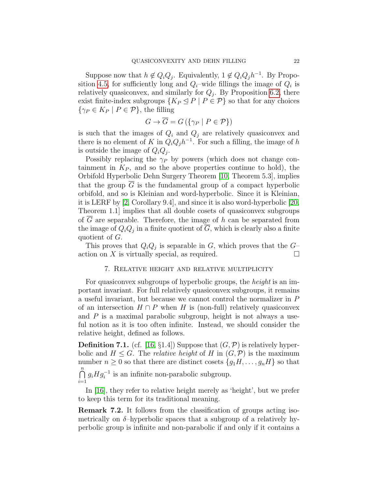Suppose now that  $h \notin Q_i Q_j$ . Equivalently,  $1 \notin Q_i Q_j h^{-1}$ . By Propo-sition [4.5,](#page-11-2) for sufficiently long and  $Q_i$ -wide fillings the image of  $Q_i$  is relatively quasiconvex, and similarly for  $Q_j$ . By Proposition [6.2,](#page-15-1) there exist finite-index subgroups  $\{K_P \subseteq P \mid P \in \mathcal{P}\}\$  so that for any choices  $\{\gamma_P \in K_P \mid P \in \mathcal{P}\}\$ , the filling

$$
G \to \overline{G} = G\left(\{\gamma_P \mid P \in \mathcal{P}\}\right)
$$

is such that the images of  $Q_i$  and  $Q_j$  are relatively quasiconvex and there is no element of K in  $Q_i Q_j h^{-1}$ . For such a filling, the image of h is outside the image of  $Q_iQ_j$ .

Possibly replacing the  $\gamma_P$  by powers (which does not change containment in  $K_P$ , and so the above properties continue to hold), the Orbifold Hyperbolic Dehn Surgery Theorem [\[10,](#page-31-17) Theorem 5.3], implies that the group  $G$  is the fundamental group of a compact hyperbolic orbifold, and so is Kleinian and word-hyperbolic. Since it is Kleinian, it is LERF by [\[2,](#page-31-1) Corollary 9.4], and since it is also word-hyperbolic [\[20,](#page-32-6) Theorem 1.1] implies that all double cosets of quasiconvex subgroups of  $\overline{G}$  are separable. Therefore, the image of h can be separated from the image of  $Q_i Q_j$  in a finite quotient of G, which is clearly also a finite quotient of G.

This proves that  $Q_iQ_j$  is separable in G, which proves that the  $G$ action on X is virtually special, as required.  $\square$ 

### 7. Relative height and relative multiplicity

<span id="page-21-0"></span>For quasiconvex subgroups of hyperbolic groups, the *height* is an important invariant. For full relatively quasiconvex subgroups, it remains a useful invariant, but because we cannot control the normalizer in P of an intersection  $H \cap P$  when H is (non-full) relatively quasiconvex and  $P$  is a maximal parabolic subgroup, height is not always a useful notion as it is too often infinite. Instead, we should consider the relative height, defined as follows.

**Definition 7.1.** (cf. [\[16,](#page-31-18) §1.4]) Suppose that  $(G, \mathcal{P})$  is relatively hyperbolic and  $H \leq G$ . The *relative height* of H in  $(G, \mathcal{P})$  is the maximum number  $n \geq 0$  so that there are distinct cosets  $\{g_1H, \ldots, g_nH\}$  so that  $\bigcap^n$  $i=1$  $g_i H g_i^{-1}$  is an infinite non-parabolic subgroup.

In [\[16\]](#page-31-18), they refer to relative height merely as 'height', but we prefer to keep this term for its traditional meaning.

Remark 7.2. It follows from the classification of groups acting isometrically on  $\delta$ -hyperbolic spaces that a subgroup of a relatively hyperbolic group is infinite and non-parabolic if and only if it contains a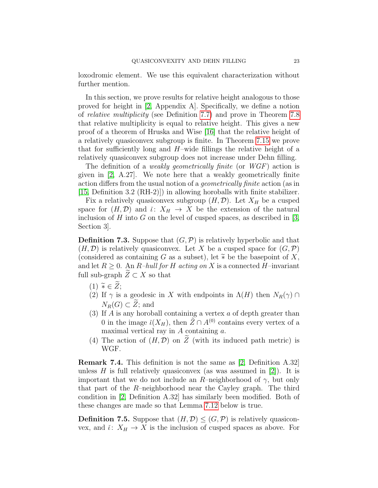loxodromic element. We use this equivalent characterization without further mention.

In this section, we prove results for relative height analogous to those proved for height in [\[2,](#page-31-1) Appendix A]. Specifically, we define a notion of relative multiplicity (see Definition [7.7\)](#page-24-0) and prove in Theorem [7.8](#page-24-1) that relative multiplicity is equal to relative height. This gives a new proof of a theorem of Hruska and Wise [\[16\]](#page-31-18) that the relative height of a relatively quasiconvex subgroup is finite. In Theorem [7.15](#page-28-0) we prove that for sufficiently long and  $H$ –wide fillings the relative height of a relatively quasiconvex subgroup does not increase under Dehn filling.

The definition of a *weakly geometrically finite* (or  $WGF$ ) action is given in [\[2,](#page-31-1) A.27]. We note here that a weakly geometrically finite action differs from the usual notion of a geometrically finite action (as in [\[15,](#page-31-10) Definition 3.2 (RH-2)]) in allowing horoballs with finite stabilizer.

Fix a relatively quasiconvex subgroup  $(H, \mathcal{D})$ . Let  $X_H$  be a cusped space for  $(H, \mathcal{D})$  and  $\tilde{\iota}: X_H \to X$  be the extension of the natural inclusion of H into G on the level of cusped spaces, as described in  $[3, \]$ Section 3].

<span id="page-22-4"></span>**Definition 7.3.** Suppose that  $(G, \mathcal{P})$  is relatively hyperbolic and that  $(H, \mathcal{D})$  is relatively quasiconvex. Let X be a cusped space for  $(G, \mathcal{P})$ (considered as containing G as a subset), let  $\widetilde{*}$  be the basepoint of X, and let  $R > 0$ . An R-hull for H acting on X is a connected H-invariant full sub-graph  $Z \subset X$  so that

- <span id="page-22-0"></span> $(1) \; \widetilde{*} \in \widetilde{Z};$
- <span id="page-22-1"></span>(2) If  $\gamma$  is a geodesic in X with endpoints in  $\Lambda(H)$  then  $N_R(\gamma) \cap$  $N_R(G) \subset \widetilde{Z}$ ; and
- <span id="page-22-2"></span>(3) If  $A$  is any horoball containing a vertex  $a$  of depth greater than 0 in the image  $\tilde{\iota}(X_H)$ , then  $\tilde{Z} \cap A^{(0)}$  contains every vertex of a maximal vertical ray in  $A$  containing  $a$ .
- <span id="page-22-3"></span>(4) The action of  $(H, \mathcal{D})$  on  $\widetilde{Z}$  (with its induced path metric) is WGF.

Remark 7.4. This definition is not the same as [\[2,](#page-31-1) Definition A.32] unless H is full relatively quasiconvex (as was assumed in  $[2]$ ). It is important that we do not include an R–neighborhood of  $\gamma$ , but only that part of the  $R$ –neighborhood near the Cayley graph. The third condition in [\[2,](#page-31-1) Definition A.32] has similarly been modified. Both of these changes are made so that Lemma [7.12](#page-27-0) below is true.

**Definition 7.5.** Suppose that  $(H, \mathcal{D}) \leq (G, \mathcal{P})$  is relatively quasiconvex, and  $\tilde{\iota}: X_H \to X$  is the inclusion of cusped spaces as above. For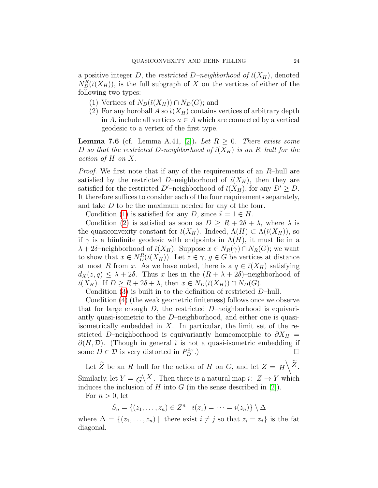a positive integer D, the restricted D–neighborhood of  $\check{\iota}(X_H)$ , denoted  $N_D^R(i(X_H))$ , is the full subgraph of X on the vertices of either of the following two types:

- (1) Vertices of  $N_D(\check{\iota}(X_H)) \cap N_D(G)$ ; and
- (2) For any horoball A so  $\tilde{\iota}(X_H)$  contains vertices of arbitrary depth in A, include all vertices  $a \in A$  which are connected by a vertical geodesic to a vertex of the first type.

**Lemma 7.6** (cf. Lemma A.41, [\[2\]](#page-31-1)). Let  $R \geq 0$ . There exists some D so that the restricted D-neighborhood of  $\check{\iota}(X_H)$  is an R-hull for the action of H on X.

*Proof.* We first note that if any of the requirements of an  $R$ –hull are satisfied by the restricted D–neighborhood of  $\tilde{\iota}(X_H)$ , then they are satisfied for the restricted D'–neighborhood of  $\ell(X_H)$ , for any  $D' \geq D$ . It therefore suffices to consider each of the four requirements separately, and take D to be the maximum needed for any of the four.

Condition [\(1\)](#page-22-0) is satisfied for any D, since  $\widetilde{\ast} = 1 \in H$ .

Condition [\(2\)](#page-22-1) is satisfied as soon as  $D \geq R + 2\delta + \lambda$ , where  $\lambda$  is the quasiconvexity constant for  $\check{\iota}(X_H)$ . Indeed,  $\Lambda(H) \subset \Lambda(\check{\iota}(X_H))$ , so if  $\gamma$  is a biinfinite geodesic with endpoints in  $\Lambda(H)$ , it must lie in a  $\lambda + 2\delta$ -neighborhood of  $\tilde{\iota}(X_H)$ . Suppose  $x \in N_R(\gamma) \cap N_R(G)$ ; we want to show that  $x \in N_D^R(\tilde{\iota}(X_H))$ . Let  $z \in \gamma$ ,  $g \in G$  be vertices at distance at most R from x. As we have noted, there is a  $q \in i(X_H)$  satisfying  $d_X(z,q) \leq \lambda + 2\delta$ . Thus x lies in the  $(R + \lambda + 2\delta)$ -neighborhood of  $\check{\iota}(X_H)$ . If  $D \geq R + 2\delta + \lambda$ , then  $x \in N_D(\check{\iota}(X_H)) \cap N_D(G)$ .

Condition  $(3)$  is built in to the definition of restricted D–hull.

Condition [\(4\)](#page-22-3) (the weak geometric finiteness) follows once we observe that for large enough  $D$ , the restricted  $D$ –neighborhood is equivariantly quasi-isometric to the D–neighborhood, and either one is quasiisometrically embedded in  $X$ . In particular, the limit set of the restricted D–neighborhood is equivariantly homeomorphic to  $\partial X_H =$  $\partial(H, \mathcal{D})$ . (Though in general  $\tilde{\iota}$  is not a quasi-isometric embedding if some  $D \in \mathcal{D}$  is very distorted in  $P_D^{c_D}$  $\bigcup_{D}^{c_D}.$ 

Let  $\widetilde{Z}$  be an R-hull for the action of H on G, and let  $Z = H \setminus \widetilde{Z}$ . Similarly, let  $Y = G\left\backslash X$ . Then there is a natural map  $i: Z \to Y$  which induces the inclusion of H into G (in the sense described in  $[2]$ ).

For  $n > 0$ , let

 $S_n = \{(z_1, \ldots, z_n) \in Z^n \mid i(z_1) = \cdots = i(z_n)\} \setminus \Delta$ 

where  $\Delta = \{(z_1, \ldots, z_n) \mid \text{there exist } i \neq j \text{ so that } z_i = z_j \}$  is the fat diagonal.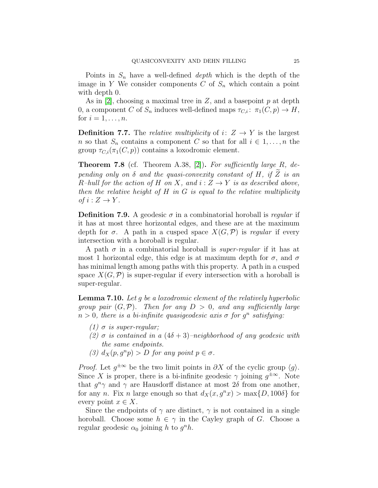Points in  $S_n$  have a well-defined *depth* which is the depth of the image in Y We consider components  $C$  of  $S_n$  which contain a point with depth 0.

As in  $[2]$ , choosing a maximal tree in Z, and a basepoint p at depth 0, a component C of  $S_n$  induces well-defined maps  $\tau_{C,i}$ :  $\pi_1(C, p) \to H$ , for  $i=1,\ldots,n$ .

<span id="page-24-0"></span>**Definition 7.7.** The *relative multiplicity* of  $i: Z \rightarrow Y$  is the largest n so that  $S_n$  contains a component C so that for all  $i \in 1, \ldots, n$  the group  $\tau_{C,i}(\pi_1(C, p))$  contains a loxodromic element.

<span id="page-24-1"></span>**Theorem 7.8** (cf. Theorem A.38, [\[2\]](#page-31-1)). For sufficiently large R, depending only on  $\delta$  and the quasi-convexity constant of H, if  $\widetilde{Z}$  is an R-hull for the action of H on X, and  $i: Z \to Y$  is as described above, then the relative height of  $H$  in  $G$  is equal to the relative multiplicity of  $i: Z \to Y$ .

**Definition 7.9.** A geodesic  $\sigma$  in a combinatorial horoball is *regular* if it has at most three horizontal edges, and these are at the maximum depth for  $\sigma$ . A path in a cusped space  $X(G,\mathcal{P})$  is regular if every intersection with a horoball is regular.

A path  $\sigma$  in a combinatorial horoball is *super-regular* if it has at most 1 horizontal edge, this edge is at maximum depth for  $\sigma$ , and  $\sigma$ has minimal length among paths with this property. A path in a cusped space  $X(G, \mathcal{P})$  is super-regular if every intersection with a horoball is super-regular.

<span id="page-24-2"></span>**Lemma 7.10.** Let q be a loxodromic element of the relatively hyperbolic group pair  $(G, \mathcal{P})$ . Then for any  $D > 0$ , and any sufficiently large  $n > 0$ , there is a bi-infinite quasigeodesic axis  $\sigma$  for  $g^n$  satisfying:

- (1)  $\sigma$  is super-regular;
- (2)  $\sigma$  is contained in a  $(4\delta + 3)$ –neighborhood of any geodesic with the same endpoints.
- (3)  $d_X(p, g^n p) > D$  for any point  $p \in \sigma$ .

*Proof.* Let  $g^{\pm \infty}$  be the two limit points in  $\partial X$  of the cyclic group  $\langle g \rangle$ . Since X is proper, there is a bi-infinite geodesic  $\gamma$  joining  $g^{\pm \infty}$ . Note that  $g^n \gamma$  and  $\gamma$  are Hausdorff distance at most  $2\delta$  from one another, for any n. Fix n large enough so that  $d_X(x, g^n x) > \max\{D, 100\delta\}$  for every point  $x \in X$ .

Since the endpoints of  $\gamma$  are distinct,  $\gamma$  is not contained in a single horoball. Choose some  $h \in \gamma$  in the Cayley graph of G. Choose a regular geodesic  $\alpha_0$  joining h to  $g^nh$ .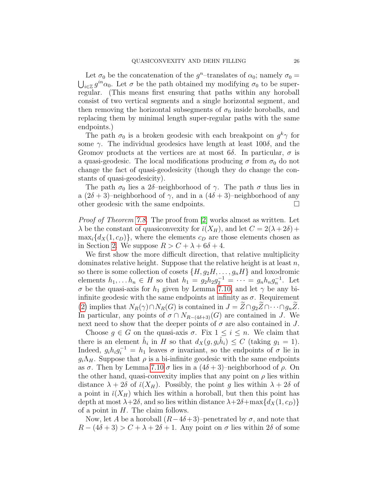Let  $\sigma_0$  be the concatenation of the  $g^n$ -translates of  $\alpha_0$ ; namely  $\sigma_0 =$  $\bigcup_{i\in\mathbb{Z}}g^{in}\alpha_0$ . Let  $\sigma$  be the path obtained my modifying  $\sigma_0$  to be superregular. (This means first ensuring that paths within any horoball consist of two vertical segments and a single horizontal segment, and then removing the horizontal subsegments of  $\sigma_0$  inside horoballs, and replacing them by minimal length super-regular paths with the same endpoints.)

The path  $\sigma_0$  is a broken geodesic with each breakpoint on  $g^k \gamma$  for some  $\gamma$ . The individual geodesics have length at least 100 $\delta$ , and the Gromov products at the vertices are at most 6 $\delta$ . In particular,  $\sigma$  is a quasi-geodesic. The local modifications producing  $\sigma$  from  $\sigma_0$  do not change the fact of quasi-geodesicity (though they do change the constants of quasi-geodesicity).

The path  $\sigma_0$  lies a 2δ–neighborhood of  $\gamma$ . The path  $\sigma$  thus lies in a  $(2\delta + 3)$ –neighborhood of  $\gamma$ , and in a  $(4\delta + 3)$ –neighborhood of any other geodesic with the same endpoints.

Proof of Theorem [7.8.](#page-24-1) The proof from [\[2\]](#page-31-1) works almost as written. Let  $\lambda$  be the constant of quasiconvexity for  $\tilde{\iota}(X_H)$ , and let  $C = 2(\lambda + 2\delta) +$  $\max_i \{d_X(1,c_D)\}\$ , where the elements  $c_D$  are those elements chosen as in Section [2.](#page-3-0) We suppose  $R > C + \lambda + 6\delta + 4$ .

We first show the more difficult direction, that relative multiplicity dominates relative height. Suppose that the relative height is at least  $n$ , so there is some collection of cosets  $\{H, g_2H, \ldots, g_nH\}$  and loxodromic elements  $h_1, ..., h_n \in H$  so that  $h_1 = g_2 h_2 g_2^{-1} = ... = g_n h_n g_n^{-1}$ . Let σ be the quasi-axis for  $h_1$  given by Lemma [7.10,](#page-24-2) and let γ be any biinfinite geodesic with the same endpoints at infinity as  $\sigma$ . Requirement [\(2\)](#page-22-1) implies that  $N_R(\gamma) \cap N_R(G)$  is contained in  $J = \widetilde{Z} \cap g_2\widetilde{Z} \cap \cdots \cap g_n\widetilde{Z}$ . In particular, any points of  $\sigma \cap N_{R-(4\delta+3)}(G)$  are contained in J. We next need to show that the deeper points of  $\sigma$  are also contained in J.

Choose  $g \in G$  on the quasi-axis  $\sigma$ . Fix  $1 \leq i \leq n$ . We claim that there is an element  $\hat{h}_i$  in H so that  $d_X(g, g_i\hat{h}_i) \leq C$  (taking  $g_1 = 1$ ). Indeed,  $g_i h_i g_i^{-1} = h_1$  leaves  $\sigma$  invariant, so the endpoints of  $\sigma$  lie in  $g_i\Lambda_H$ . Suppose that  $\rho$  is a bi-infinite geodesic with the same endpoints as  $\sigma$ . Then by Lemma [7.10](#page-24-2)  $\sigma$  lies in a  $(4\delta + 3)$ –neighborhood of  $\rho$ . On the other hand, quasi-convexity implies that any point on  $\rho$  lies within distance  $\lambda + 2\delta$  of  $\tilde{\iota}(X_H)$ . Possibly, the point g lies within  $\lambda + 2\delta$  of a point in  $\tilde{\iota}(X_H)$  which lies within a horoball, but then this point has depth at most  $\lambda + 2\delta$ , and so lies within distance  $\lambda + 2\delta + \max\{d_X(1, c_D)\}\$ of a point in  $H$ . The claim follows.

Now, let A be a horoball  $(R-4\delta+3)$ –penetrated by  $\sigma$ , and note that  $R - (4\delta + 3) > C + \lambda + 2\delta + 1$ . Any point on  $\sigma$  lies within  $2\delta$  of some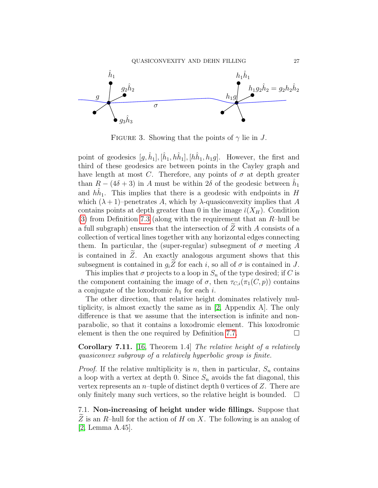

FIGURE 3. Showing that the points of  $\gamma$  lie in J.

point of geodesics  $[g, \hat{h}_1], [\hat{h}_1, h\hat{h}_1], [h\hat{h}_1, h_1g]$ . However, the first and third of these geodesics are between points in the Cayley graph and have length at most C. Therefore, any points of  $\sigma$  at depth greater than  $R - (4\delta + 3)$  in A must be within 2 $\delta$  of the geodesic between  $\hat{h}_1$ and  $h\hat{h}_1$ . This implies that there is a geodesic with endpoints in H which  $(\lambda + 1)$ –penetrates A, which by  $\lambda$ -quasiconvexity implies that A contains points at depth greater than 0 in the image  $\ell(X_H)$ . Condition [\(3\)](#page-22-2) from Definition [7.3](#page-22-4) (along with the requirement that an  $R$ –hull be a full subgraph) ensures that the intersection of  $\tilde{Z}$  with A consists of a collection of vertical lines together with any horizontal edges connecting them. In particular, the (super-regular) subsegment of  $\sigma$  meeting A is contained in  $Z$ . An exactly analogous argument shows that this subsegment is contained in  $g_i \tilde{Z}$  for each i, so all of  $\sigma$  is contained in J.

This implies that  $\sigma$  projects to a loop in  $S_n$  of the type desired; if C is the component containing the image of  $\sigma$ , then  $\tau_{C,i}(\pi_1(C, p))$  contains a conjugate of the loxodromic  $h_1$  for each i.

The other direction, that relative height dominates relatively multiplicity, is almost exactly the same as in [\[2,](#page-31-1) Appendix A]. The only difference is that we assume that the intersection is infinite and nonparabolic, so that it contains a loxodromic element. This loxodromic element is then the one required by Definition [7.7.](#page-24-0)  $\Box$ 

Corollary 7.11. [\[16,](#page-31-18) Theorem 1.4] The relative height of a relatively quasiconvex subgroup of a relatively hyperbolic group is finite.

*Proof.* If the relative multiplicity is n, then in particular,  $S_n$  contains a loop with a vertex at depth 0. Since  $S_n$  avoids the fat diagonal, this vertex represents an  $n$ -tuple of distinct depth 0 vertices of Z. There are only finitely many such vertices, so the relative height is bounded.  $\square$ 

7.1. Non-increasing of height under wide fillings. Suppose that  $\overline{Z}$  is an R–hull for the action of H on X. The following is an analog of [\[2,](#page-31-1) Lemma A.45].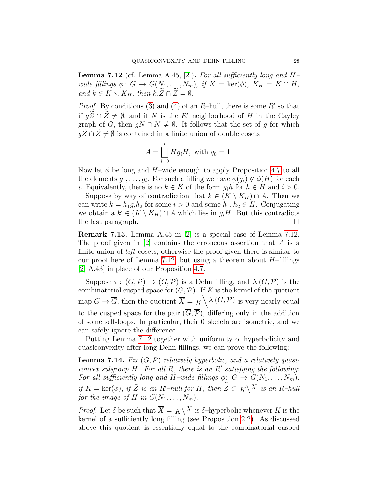<span id="page-27-0"></span>**Lemma 7.12** (cf. Lemma A.45, [\[2\]](#page-31-1)). For all sufficiently long and  $H$ wide fillings  $\phi: G \to G(N_1, \ldots, N_m)$ , if  $K = \text{ker}(\phi)$ ,  $K_H = K \cap H$ , and  $k \in K \setminus K_H$ , then  $k \cdot \widetilde{Z} \cap \widetilde{Z} = \emptyset$ .

*Proof.* By conditions [\(3\)](#page-22-2) and [\(4\)](#page-22-3) of an R-hull, there is some  $R'$  so that if  $gZ \cap Z \neq \emptyset$ , and if N is the R'–neighborhood of H in the Cayley graph of G, then  $gN \cap N \neq \emptyset$ . It follows that the set of g for which  $q\widetilde{Z}\cap\widetilde{Z}\neq\emptyset$  is contained in a finite union of double cosets

$$
A = \bigsqcup_{i=0}^{l} Hg_iH, \text{ with } g_0 = 1.
$$

Now let  $\phi$  be long and H–wide enough to apply Proposition [4.7](#page-12-1) to all the elements  $g_1, \ldots, g_l$ . For such a filling we have  $\phi(g_i) \notin \phi(H)$  for each *i*. Equivalently, there is no  $k \in K$  of the form  $g_i h$  for  $h \in H$  and  $i > 0$ .

Suppose by way of contradiction that  $k \in (K \setminus K_H) \cap A$ . Then we can write  $k = h_1 g_i h_2$  for some  $i > 0$  and some  $h_1, h_2 \in H$ . Conjugating we obtain a  $k' \in (K \setminus K_H) \cap A$  which lies in  $g_i H$ . But this contradicts the last paragraph.

Remark 7.13. Lemma A.45 in [\[2\]](#page-31-1) is a special case of Lemma [7.12.](#page-27-0) The proof given in  $[2]$  contains the erroneous assertion that A is a finite union of *left* cosets; otherwise the proof given there is similar to our proof here of Lemma [7.12,](#page-27-0) but using a theorem about  $H$ –fillings [\[2,](#page-31-1) A.43] in place of our Proposition [4.7.](#page-12-1)

Suppose  $\pi: (G, \mathcal{P}) \to (\overline{G}, \overline{\mathcal{P}})$  is a Dehn filling, and  $X(G, \mathcal{P})$  is the combinatorial cusped space for  $(G, \mathcal{P})$ . If K is the kernel of the quotient map  $G \to \overline{G}$ , then the quotient  $\overline{X} = K \setminus X(G, \mathcal{P})$  is very nearly equal to the cusped space for the pair  $(\overline{G}, \overline{\mathcal{P}})$ , differing only in the addition of some self-loops. In particular, their 0–skeleta are isometric, and we can safely ignore the difference.

Putting Lemma [7.12](#page-27-0) together with uniformity of hyperbolicity and quasiconvexity after long Dehn fillings, we can prove the following:

<span id="page-27-1"></span>**Lemma 7.14.** Fix  $(G, \mathcal{P})$  relatively hyperbolic, and a relatively quasiconvex subgroup  $H$ . For all  $R$ , there is an  $R'$  satisfying the following: For all sufficiently long and H–wide fillings  $\phi: G \to G(N_1, \ldots, N_m)$ , if  $K = \text{ker}(\phi)$ , if  $\tilde{Z}$  is an  $R'-hull$  for  $H$ , then  $\overline{Z} \subset K\backslash X$  is an  $R-hull$ for the image of H in  $G(N_1, \ldots, N_m)$ .

*Proof.* Let  $\delta$  be such that  $\overline{X} = K \setminus X$  is  $\delta$ -hyperbolic whenever K is the kernel of a sufficiently long filling (see Proposition [2.2\)](#page-3-1). As discussed above this quotient is essentially equal to the combinatorial cusped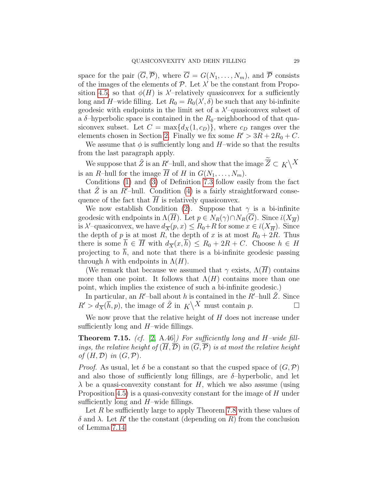space for the pair  $(\overline{G}, \overline{\mathcal{P}})$ , where  $\overline{G} = G(N_1, \ldots, N_m)$ , and  $\overline{\mathcal{P}}$  consists of the images of the elements of  $P$ . Let  $\lambda'$  be the constant from Propo-sition [4.5,](#page-11-2) so that  $\phi(H)$  is  $\lambda'$ -relatively quasiconvex for a sufficiently long and H-wide filling. Let  $R_0 = R_0(\lambda', \delta)$  be such that any bi-infinite geodesic with endpoints in the limit set of a  $\lambda'$ -quasiconvex subset of a  $\delta$ -hyperbolic space is contained in the  $R_0$ -neighborhood of that quasiconvex subset. Let  $C = \max\{d_X(1, c_D)\}\)$ , where  $c_D$  ranges over the elements chosen in Section [2.](#page-3-0) Finally we fix some  $R' > 3R + 2R_0 + C$ .

We assume that  $\phi$  is sufficiently long and H–wide so that the results from the last paragraph apply.

We suppose that  $\tilde{Z}$  is an  $R'-$ hull, and show that the image  $\overline{Z}\subset K\bigl\backslash X$ is an R-hull for the image  $\overline{H}$  of H in  $G(N_1, \ldots, N_m)$ .

Conditions [\(1\)](#page-22-0) and [\(3\)](#page-22-2) of Definition [7.3](#page-22-4) follow easily from the fact that Z is an R'-hull. Condition [\(4\)](#page-22-3) is a fairly straightforward consequence of the fact that  $\overline{H}$  is relatively quasiconvex.

We now establish Condition [\(2\)](#page-22-1). Suppose that  $\gamma$  is a bi-infinite geodesic with endpoints in  $\Lambda(\overline{H})$ . Let  $p \in N_R(\gamma) \cap N_R(\overline{G})$ . Since  $\check{\iota}(X_{\overline{H}})$ is  $\lambda'$ -quasiconvex, we have  $d_{\overline{X}}(p, x) \leq R_0 + R$  for some  $x \in \tilde{\iota}(X_{\overline{H}})$ . Since the depth of p is at most R, the depth of x is at most  $R_0 + 2R$ . Thus there is some  $\overline{h} \in \overline{H}$  with  $d_{\overline{X}}(x, \overline{h}) \leq R_0 + 2R + C$ . Choose  $h \in H$ projecting to  $h$ , and note that there is a bi-infinite geodesic passing through h with endpoints in  $\Lambda(H)$ .

(We remark that because we assumed that  $\gamma$  exists,  $\Lambda(H)$  contains more than one point. It follows that  $\Lambda(H)$  contains more than one point, which implies the existence of such a bi-infinite geodesic.)

In particular, an  $R'-$ ball about h is contained in the  $R'-$ hull Z. Since  $R' > d_{\overline{X}}(\overline{h}, p)$ , the image of  $\widetilde{Z}$  in  $K \backslash X$  must contain  $p$ .

We now prove that the relative height of H does not increase under sufficiently long and  $H$ –wide fillings.

<span id="page-28-0"></span>**Theorem 7.15.** (cf. [\[2,](#page-31-1) A.46]) For sufficiently long and H–wide fillings, the relative height of  $(\overline{H}, \overline{D})$  in  $(\overline{G}, \overline{P})$  is at most the relative height of  $(H, \mathcal{D})$  in  $(G, \mathcal{P})$ .

*Proof.* As usual, let  $\delta$  be a constant so that the cusped space of  $(G, \mathcal{P})$ and also those of sufficiently long fillings, are  $\delta$ -hyperbolic, and let  $\lambda$  be a quasi-convexity constant for H, which we also assume (using Proposition [4.5\)](#page-11-2) is a quasi-convexity constant for the image of H under sufficiently long and  $H$ –wide fillings.

Let  $R$  be sufficiently large to apply Theorem [7.8](#page-24-1) with these values of δ and  $\lambda$ . Let R' the the constant (depending on R) from the conclusion of Lemma [7.14.](#page-27-1)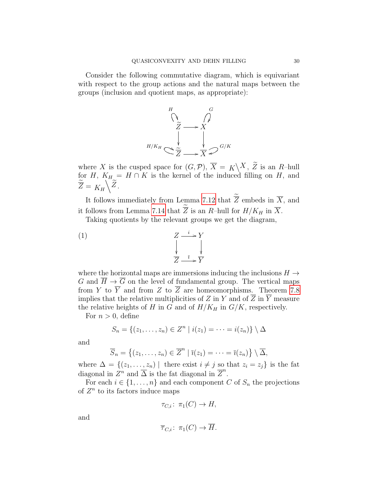Consider the following commutative diagram, which is equivariant with respect to the group actions and the natural maps between the groups (inclusion and quotient maps, as appropriate):



where X is the cusped space for  $(G, \mathcal{P}), \overline{X} = K \setminus X, \widetilde{Z}$  is an R-hull for H,  $K_H = H \cap K$  is the kernel of the induced filling on H, and  $\widetilde{\overline{Z}} = K_H \backslash \widetilde{Z}$  .

It follows immediately from Lemma [7.12](#page-27-0) that  $\overline{Z}$  embeds in  $\overline{X}$ , and it follows from Lemma [7.14](#page-27-1) that  $\overline{Z}$  is an R-hull for  $H/K_H$  in  $\overline{X}$ .

Taking quotients by the relevant groups we get the diagram,

(1) 
$$
\begin{array}{ccc}\n & Z & \xrightarrow{i} & Y \\
& \downarrow & & \downarrow \\
& \overline{Z} & \xrightarrow{\overline{i}} & \overline{Y}\n\end{array}
$$

where the horizontal maps are immersions inducing the inclusions  $H \rightarrow$ G and  $\overline{H} \to \overline{G}$  on the level of fundamental group. The vertical maps from Y to  $\overline{Y}$  and from Z to  $\overline{Z}$  are homeomorphisms. Theorem [7.8](#page-24-1) implies that the relative multiplicities of Z in Y and of  $\overline{Z}$  in  $\overline{Y}$  measure the relative heights of H in G and of  $H/K_H$  in  $G/K$ , respectively.

For  $n > 0$ , define

$$
S_n = \{(z_1,\ldots,z_n) \in Z^n \mid i(z_1) = \cdots = i(z_n)\} \setminus \Delta
$$

and

$$
\overline{S}_n = \{(z_1, \ldots, z_n) \in \overline{Z}^n \mid \overline{\imath}(z_1) = \cdots = \overline{\imath}(z_n) \} \setminus \overline{\Delta},
$$

where  $\Delta = \{(z_1, \ldots, z_n) \mid \text{ there exist } i \neq j \text{ so that } z_i = z_j \}$  is the fat diagonal in  $\overline{Z}^n$  and  $\overline{\Delta}$  is the fat diagonal in  $\overline{Z}^n$ .

For each  $i \in \{1, \ldots, n\}$  and each component C of  $S_n$  the projections of  $Z<sup>n</sup>$  to its factors induce maps

$$
\tau_{C,i} \colon \pi_1(C) \to H,
$$

and

$$
\overline{\tau}_{C,i} \colon \pi_1(C) \to \overline{H}.
$$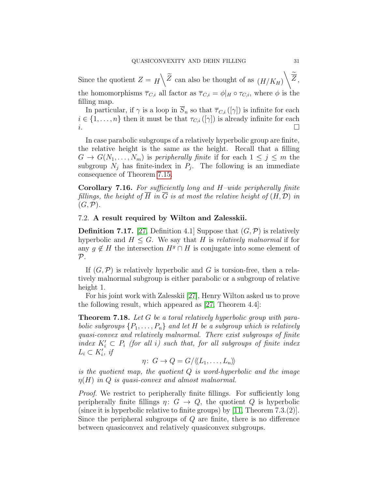Since the quotient  $Z = H \setminus \widetilde{Z}$  can also be thought of as  $(H/K_H) \setminus \widetilde{Z}$ , the homomorphisms  $\overline{\tau}_{C,i}$  all factor as  $\overline{\tau}_{C,i} = \phi|_H \circ \tau_{C,i}$ , where  $\phi$  is the filling map.

In particular, if  $\gamma$  is a loop in  $\overline{S}_n$  so that  $\overline{\tau}_{C,i}([\gamma])$  is infinite for each  $i \in \{1, \ldots, n\}$  then it must be that  $\tau_{C,i}([\gamma])$  is already infinite for each i.

In case parabolic subgroups of a relatively hyperbolic group are finite, the relative height is the same as the height. Recall that a filling  $G \to G(N_1,\ldots,N_m)$  is peripherally finite if for each  $1 \leq j \leq m$  the subgroup  $N_j$  has finite-index in  $P_j$ . The following is an immediate consequence of Theorem [7.15.](#page-28-0)

<span id="page-30-1"></span>Corollary 7.16. For sufficiently long and  $H$ -wide peripherally finite fillings, the height of  $\overline{H}$  in  $\overline{G}$  is at most the relative height of  $(H, \mathcal{D})$  in  $(G,\mathcal{P}).$ 

# 7.2. A result required by Wilton and Zalesskii.

**Definition 7.17.** [\[27,](#page-32-1) Definition 4.1] Suppose that  $(G, \mathcal{P})$  is relatively hyperbolic and  $H \leq G$ . We say that H is *relatively malnormal* if for any  $q \notin H$  the intersection  $H^g \cap H$  is conjugate into some element of  $\mathcal{P}.$ 

If  $(G, \mathcal{P})$  is relatively hyperbolic and G is torsion-free, then a relatively malnormal subgroup is either parabolic or a subgroup of relative height 1.

For his joint work with Zalesskii [\[27\]](#page-32-1), Henry Wilton asked us to prove the following result, which appeared as [\[27,](#page-32-1) Theorem 4.4]:

<span id="page-30-0"></span>**Theorem 7.18.** Let G be a toral relatively hyperbolic group with parabolic subgroups  $\{P_1, \ldots, P_n\}$  and let H be a subgroup which is relatively quasi-convex and relatively malnormal. There exist subgroups of finite index  $K_i' \subset P_i$  (for all i) such that, for all subgroups of finite index  $L_i \subset K'_i$ , if

$$
\eta\colon G\to Q=G/\langle\!\langle L_1,\ldots,L_n\rangle\!\rangle
$$

is the quotient map, the quotient  $Q$  is word-hyperbolic and the image  $\eta(H)$  in Q is quasi-convex and almost malnormal.

*Proof.* We restrict to peripherally finite fillings. For sufficiently long peripherally finite fillings  $\eta: G \to Q$ , the quotient Q is hyperbolic (since it is hyperbolic relative to finite groups) by [\[11,](#page-31-9) Theorem 7.3.(2)]. Since the peripheral subgroups of  $Q$  are finite, there is no difference between quasiconvex and relatively quasiconvex subgroups.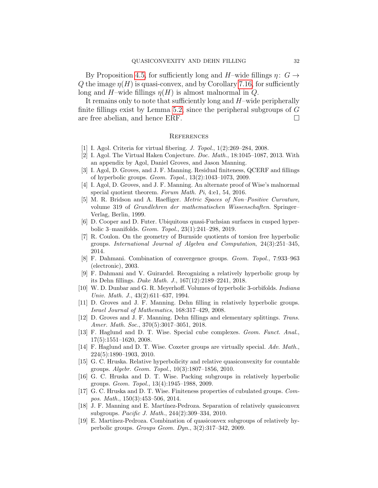By Proposition [4.5,](#page-11-2) for sufficiently long and H–wide fillings  $\eta: G \rightarrow$ Q the image  $\eta(H)$  is quasi-convex, and by Corollary [7.16,](#page-30-1) for sufficiently long and H–wide fillings  $\eta(H)$  is almost malnormal in Q.

It remains only to note that sufficiently long and  $H$ –wide peripherally finite fillings exist by Lemma [5.2,](#page-14-1) since the peripheral subgroups of  $G$ are free abelian, and hence ERF.

#### **REFERENCES**

- <span id="page-31-8"></span>[1] I. Agol. Criteria for virtual fibering. J. Topol., 1(2):269–284, 2008.
- <span id="page-31-1"></span>[2] I. Agol. The Virtual Haken Conjecture. Doc. Math., 18:1045–1087, 2013. With an appendix by Agol, Daniel Groves, and Jason Manning.
- <span id="page-31-4"></span>[3] I. Agol, D. Groves, and J. F. Manning. Residual finiteness, QCERF and fillings of hyperbolic groups. Geom. Topol., 13(2):1043–1073, 2009.
- <span id="page-31-3"></span>[4] I. Agol, D. Groves, and J. F. Manning. An alternate proof of Wise's malnormal special quotient theorem. Forum Math. Pi, 4:e1, 54, 2016.
- <span id="page-31-13"></span>[5] M. R. Bridson and A. Haefliger. Metric Spaces of Non–Positive Curvature, volume 319 of Grundlehren der mathematischen Wissenschaften. Springer– Verlag, Berlin, 1999.
- <span id="page-31-0"></span>[6] D. Cooper and D. Futer. Ubiquitous quasi-Fuchsian surfaces in cusped hyperbolic 3–manifolds. Geom. Topol., 23(1):241–298, 2019.
- <span id="page-31-11"></span>[7] R. Coulon. On the geometry of Burnside quotients of torsion free hyperbolic groups. International Journal of Algebra and Computation, 24(3):251–345, 2014.
- <span id="page-31-14"></span>[8] F. Dahmani. Combination of convergence groups. Geom. Topol., 7:933–963 (electronic), 2003.
- <span id="page-31-2"></span>[9] F. Dahmani and V. Guirardel. Recognizing a relatively hyperbolic group by its Dehn fillings. Duke Math. J., 167(12):2189–2241, 2018.
- <span id="page-31-17"></span>[10] W. D. Dunbar and G. R. Meyerhoff. Volumes of hyperbolic 3-orbifolds. Indiana Univ. Math. J., 43(2):611–637, 1994.
- <span id="page-31-9"></span>[11] D. Groves and J. F. Manning. Dehn filling in relatively hyperbolic groups. Israel Journal of Mathematics, 168:317–429, 2008.
- <span id="page-31-12"></span>[12] D. Groves and J. F. Manning. Dehn fillings and elementary splittings. Trans. Amer. Math. Soc., 370(5):3017–3051, 2018.
- <span id="page-31-7"></span>[13] F. Haglund and D. T. Wise. Special cube complexes. Geom. Funct. Anal., 17(5):1551–1620, 2008.
- <span id="page-31-15"></span>[14] F. Haglund and D. T. Wise. Coxeter groups are virtually special. Adv. Math., 224(5):1890–1903, 2010.
- <span id="page-31-10"></span>[15] G. C. Hruska. Relative hyperbolicity and relative quasiconvexity for countable groups. Algebr. Geom. Topol., 10(3):1807–1856, 2010.
- <span id="page-31-18"></span>[16] G. C. Hruska and D. T. Wise. Packing subgroups in relatively hyperbolic groups. Geom. Topol., 13(4):1945–1988, 2009.
- <span id="page-31-16"></span>[17] G. C. Hruska and D. T. Wise. Finiteness properties of cubulated groups. Compos. Math., 150(3):453–506, 2014.
- <span id="page-31-6"></span>[18] J. F. Manning and E. Mart´ınez-Pedroza. Separation of relatively quasiconvex subgroups. Pacific J. Math., 244(2):309–334, 2010.
- <span id="page-31-5"></span>[19] E. Martínez-Pedroza. Combination of quasiconvex subgroups of relatively hyperbolic groups. Groups Geom. Dyn., 3(2):317–342, 2009.